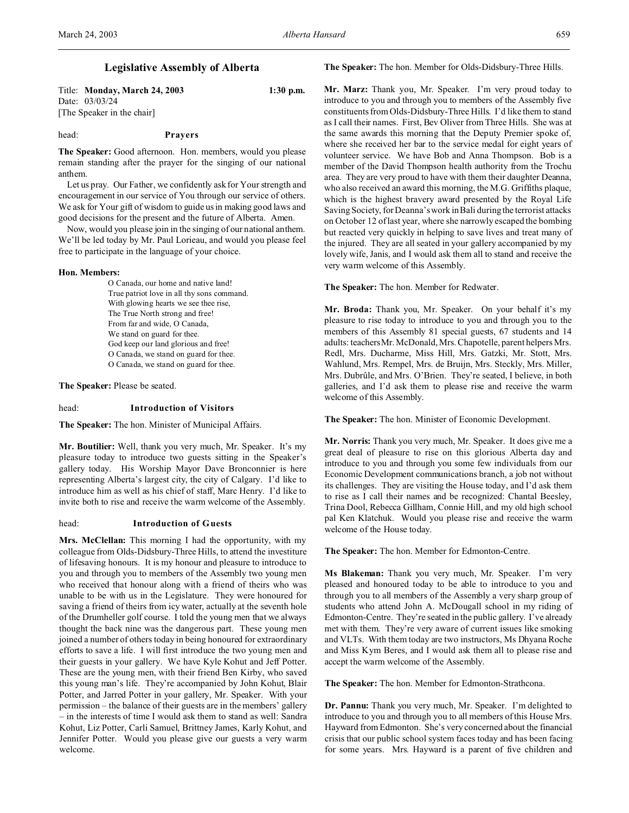# **Legislative Assembly of Alberta**

Title: **Monday, March 24, 2003 1:30 p.m.** Date: 03/03/24 [The Speaker in the chair]

### head: **Prayers**

**The Speaker:** Good afternoon. Hon. members, would you please remain standing after the prayer for the singing of our national anthem.

Let us pray. Our Father, we confidently ask for Your strength and encouragement in our service of You through our service of others. We ask for Your gift of wisdom to guide us in making good laws and good decisions for the present and the future of Alberta. Amen.

Now, would you please join in the singing of our national anthem. We'll be led today by Mr. Paul Lorieau, and would you please feel free to participate in the language of your choice.

#### **Hon. Members:**

O Canada, our home and native land! True patriot love in all thy sons command. With glowing hearts we see thee rise, The True North strong and free! From far and wide, O Canada, We stand on guard for thee. God keep our land glorious and free! O Canada, we stand on guard for thee. O Canada, we stand on guard for thee.

**The Speaker:** Please be seated.

# head: **Introduction of Visitors**

**The Speaker:** The hon. Minister of Municipal Affairs.

**Mr. Boutilier:** Well, thank you very much, Mr. Speaker. It's my pleasure today to introduce two guests sitting in the Speaker's gallery today. His Worship Mayor Dave Bronconnier is here representing Alberta's largest city, the city of Calgary. I'd like to introduce him as well as his chief of staff, Marc Henry. I'd like to invite both to rise and receive the warm welcome of the Assembly.

# head: **Introduction of Guests**

**Mrs. McClellan:** This morning I had the opportunity, with my colleague from Olds-Didsbury-Three Hills, to attend the investiture of lifesaving honours. It is my honour and pleasure to introduce to you and through you to members of the Assembly two young men who received that honour along with a friend of theirs who was unable to be with us in the Legislature. They were honoured for saving a friend of theirs from icy water, actually at the seventh hole of the Drumheller golf course. I told the young men that we always thought the back nine was the dangerous part. These young men joined a number of others today in being honoured for extraordinary efforts to save a life. I will first introduce the two young men and their guests in your gallery. We have Kyle Kohut and Jeff Potter. These are the young men, with their friend Ben Kirby, who saved this young man's life. They're accompanied by John Kohut, Blair Potter, and Jarred Potter in your gallery, Mr. Speaker. With your permission – the balance of their guests are in the members' gallery – in the interests of time I would ask them to stand as well: Sandra Kohut, Liz Potter, Carli Samuel, Brittney James, Karly Kohut, and Jennifer Potter. Would you please give our guests a very warm welcome.

**The Speaker:** The hon. Member for Olds-Didsbury-Three Hills.

**Mr. Marz:** Thank you, Mr. Speaker. I'm very proud today to introduce to you and through you to members of the Assembly five constituents from Olds-Didsbury-Three Hills. I'd like them to stand as I call their names. First, Bev Oliver from Three Hills. She was at the same awards this morning that the Deputy Premier spoke of, where she received her bar to the service medal for eight years of volunteer service. We have Bob and Anna Thompson. Bob is a member of the David Thompson health authority from the Trochu area. They are very proud to have with them their daughter Deanna, who also received an award this morning, the M.G. Griffiths plaque, which is the highest bravery award presented by the Royal Life Saving Society, for Deanna's work in Bali during the terrorist attacks on October 12 of last year, where she narrowly escaped the bombing but reacted very quickly in helping to save lives and treat many of the injured. They are all seated in your gallery accompanied by my lovely wife, Janis, and I would ask them all to stand and receive the very warm welcome of this Assembly.

### **The Speaker:** The hon. Member for Redwater.

**Mr. Broda:** Thank you, Mr. Speaker. On your behalf it's my pleasure to rise today to introduce to you and through you to the members of this Assembly 81 special guests, 67 students and 14 adults: teachersMr. McDonald, Mrs. Chapotelle, parent helpers Mrs. Redl, Mrs. Ducharme, Miss Hill, Mrs. Gatzki, Mr. Stott, Mrs. Wahlund, Mrs. Rempel, Mrs. de Bruijn, Mrs. Steckly, Mrs. Miller, Mrs. Dubrûle, and Mrs. O'Brien. They're seated, I believe, in both galleries, and I'd ask them to please rise and receive the warm welcome of this Assembly.

**The Speaker:** The hon. Minister of Economic Development.

**Mr. Norris:** Thank you very much, Mr. Speaker. It does give me a great deal of pleasure to rise on this glorious Alberta day and introduce to you and through you some few individuals from our Economic Development communications branch, a job not without its challenges. They are visiting the House today, and I'd ask them to rise as I call their names and be recognized: Chantal Beesley, Trina Dool, Rebecca Gillham, Connie Hill, and my old high school pal Ken Klatchuk. Would you please rise and receive the warm welcome of the House today.

**The Speaker:** The hon. Member for Edmonton-Centre.

**Ms Blakeman:** Thank you very much, Mr. Speaker. I'm very pleased and honoured today to be able to introduce to you and through you to all members of the Assembly a very sharp group of students who attend John A. McDougall school in my riding of Edmonton-Centre. They're seated in the public gallery. I've already met with them. They're very aware of current issues like smoking and VLTs. With them today are two instructors, Ms Dhyana Roche and Miss Kym Beres, and I would ask them all to please rise and accept the warm welcome of the Assembly.

**The Speaker:** The hon. Member for Edmonton-Strathcona.

**Dr. Pannu:** Thank you very much, Mr. Speaker. I'm delighted to introduce to you and through you to all members of this House Mrs. Hayward from Edmonton. She's very concerned about the financial crisis that our public school system faces today and has been facing for some years. Mrs. Hayward is a parent of five children and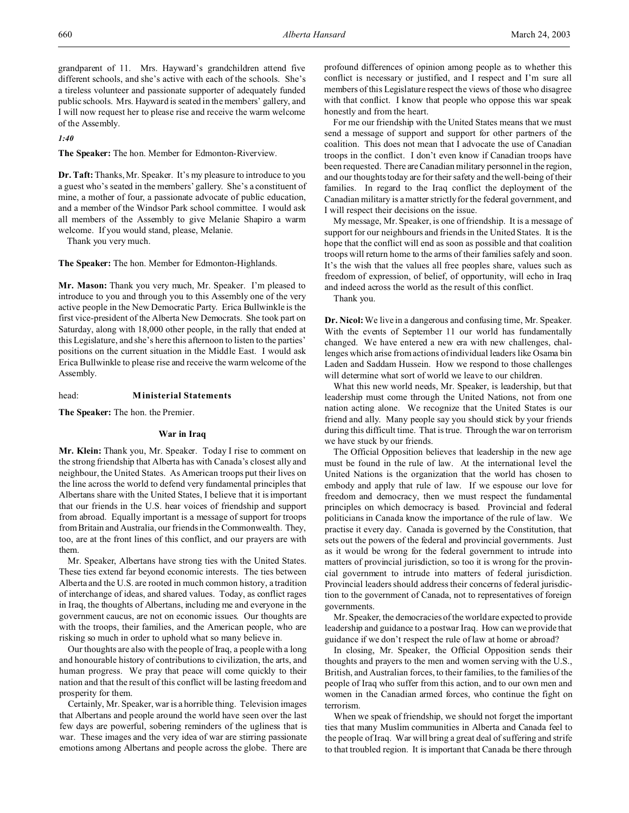grandparent of 11. Mrs. Hayward's grandchildren attend five different schools, and she's active with each of the schools. She's a tireless volunteer and passionate supporter of adequately funded public schools. Mrs. Hayward is seated in the members' gallery, and I will now request her to please rise and receive the warm welcome of the Assembly.

*1:40*

**The Speaker:** The hon. Member for Edmonton-Riverview.

**Dr. Taft:** Thanks, Mr. Speaker. It's my pleasure to introduce to you a guest who's seated in the members' gallery. She's a constituent of mine, a mother of four, a passionate advocate of public education, and a member of the Windsor Park school committee. I would ask all members of the Assembly to give Melanie Shapiro a warm welcome. If you would stand, please, Melanie.

Thank you very much.

**The Speaker:** The hon. Member for Edmonton-Highlands.

**Mr. Mason:** Thank you very much, Mr. Speaker. I'm pleased to introduce to you and through you to this Assembly one of the very active people in the New Democratic Party. Erica Bullwinkle is the first vice-president of the Alberta New Democrats. She took part on Saturday, along with 18,000 other people, in the rally that ended at this Legislature, and she's here this afternoon to listen to the parties' positions on the current situation in the Middle East. I would ask Erica Bullwinkle to please rise and receive the warm welcome of the Assembly.

head: **Ministerial Statements**

**The Speaker:** The hon. the Premier.

# **War in Iraq**

**Mr. Klein:** Thank you, Mr. Speaker. Today I rise to comment on the strong friendship that Alberta has with Canada's closest ally and neighbour, the United States. As American troops put their lives on the line across the world to defend very fundamental principles that Albertans share with the United States, I believe that it is important that our friends in the U.S. hear voices of friendship and support from abroad. Equally important is a message of support for troops from Britain and Australia, our friends in the Commonwealth. They, too, are at the front lines of this conflict, and our prayers are with them.

Mr. Speaker, Albertans have strong ties with the United States. These ties extend far beyond economic interests. The ties between Alberta and the U.S. are rooted in much common history, a tradition of interchange of ideas, and shared values. Today, as conflict rages in Iraq, the thoughts of Albertans, including me and everyone in the government caucus, are not on economic issues. Our thoughts are with the troops, their families, and the American people, who are risking so much in order to uphold what so many believe in.

Our thoughts are also with the people of Iraq, a people with a long and honourable history of contributions to civilization, the arts, and human progress. We pray that peace will come quickly to their nation and that the result of this conflict will be lasting freedom and prosperity for them.

Certainly, Mr. Speaker, war is a horrible thing. Television images that Albertans and people around the world have seen over the last few days are powerful, sobering reminders of the ugliness that is war. These images and the very idea of war are stirring passionate emotions among Albertans and people across the globe. There are

profound differences of opinion among people as to whether this conflict is necessary or justified, and I respect and I'm sure all members of this Legislature respect the views of those who disagree with that conflict. I know that people who oppose this war speak honestly and from the heart.

For me our friendship with the United States means that we must send a message of support and support for other partners of the coalition. This does not mean that I advocate the use of Canadian troops in the conflict. I don't even know if Canadian troops have been requested. There are Canadian military personnel in the region, and our thoughts today are for their safety and the well-being of their families. In regard to the Iraq conflict the deployment of the Canadian military is a matter strictly for the federal government, and I will respect their decisions on the issue.

My message, Mr. Speaker, is one of friendship. It is a message of support for our neighbours and friends in the United States. It is the hope that the conflict will end as soon as possible and that coalition troops will return home to the arms of their families safely and soon. It's the wish that the values all free peoples share, values such as freedom of expression, of belief, of opportunity, will echo in Iraq and indeed across the world as the result of this conflict.

Thank you.

**Dr. Nicol:** We live in a dangerous and confusing time, Mr. Speaker. With the events of September 11 our world has fundamentally changed. We have entered a new era with new challenges, challenges which arise from actions of individual leaders like Osama bin Laden and Saddam Hussein. How we respond to those challenges will determine what sort of world we leave to our children.

What this new world needs, Mr. Speaker, is leadership, but that leadership must come through the United Nations, not from one nation acting alone. We recognize that the United States is our friend and ally. Many people say you should stick by your friends during this difficult time. That is true. Through the war on terrorism we have stuck by our friends.

The Official Opposition believes that leadership in the new age must be found in the rule of law. At the international level the United Nations is the organization that the world has chosen to embody and apply that rule of law. If we espouse our love for freedom and democracy, then we must respect the fundamental principles on which democracy is based. Provincial and federal politicians in Canada know the importance of the rule of law. We practise it every day. Canada is governed by the Constitution, that sets out the powers of the federal and provincial governments. Just as it would be wrong for the federal government to intrude into matters of provincial jurisdiction, so too it is wrong for the provincial government to intrude into matters of federal jurisdiction. Provincial leaders should address their concerns of federal jurisdiction to the government of Canada, not to representatives of foreign governments.

Mr. Speaker, the democracies of the world are expected to provide leadership and guidance to a postwar Iraq. How can we provide that guidance if we don't respect the rule of law at home or abroad?

In closing, Mr. Speaker, the Official Opposition sends their thoughts and prayers to the men and women serving with the U.S., British, and Australian forces, to their families, to the families of the people of Iraq who suffer from this action, and to our own men and women in the Canadian armed forces, who continue the fight on terrorism.

When we speak of friendship, we should not forget the important ties that many Muslim communities in Alberta and Canada feel to the people of Iraq. War will bring a great deal of suffering and strife to that troubled region. It is important that Canada be there through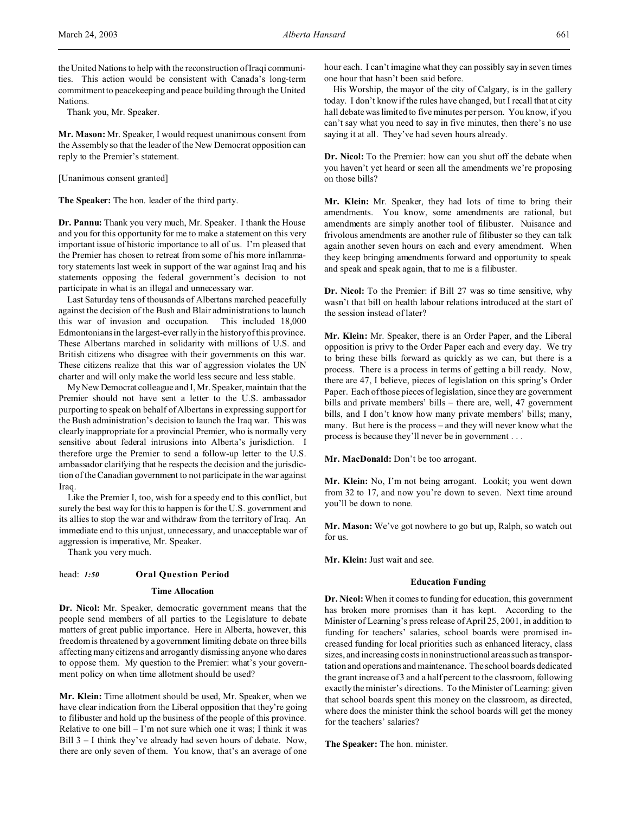the United Nations to help with the reconstruction of Iraqi communities. This action would be consistent with Canada's long-term commitment to peacekeeping and peace building through the United Nations.

Thank you, Mr. Speaker.

**Mr. Mason:** Mr. Speaker, I would request unanimous consent from the Assembly so that the leader of the New Democrat opposition can reply to the Premier's statement.

## [Unanimous consent granted]

**The Speaker:** The hon. leader of the third party.

**Dr. Pannu:** Thank you very much, Mr. Speaker. I thank the House and you for this opportunity for me to make a statement on this very important issue of historic importance to all of us. I'm pleased that the Premier has chosen to retreat from some of his more inflammatory statements last week in support of the war against Iraq and his statements opposing the federal government's decision to not participate in what is an illegal and unnecessary war.

Last Saturday tens of thousands of Albertans marched peacefully against the decision of the Bush and Blair administrations to launch this war of invasion and occupation. This included 18,000 Edmontonians in the largest-ever rally in the history of this province. These Albertans marched in solidarity with millions of U.S. and British citizens who disagree with their governments on this war. These citizens realize that this war of aggression violates the UN charter and will only make the world less secure and less stable.

My New Democrat colleague and I, Mr. Speaker, maintain that the Premier should not have sent a letter to the U.S. ambassador purporting to speak on behalf of Albertans in expressing support for the Bush administration's decision to launch the Iraq war. This was clearly inappropriate for a provincial Premier, who is normally very sensitive about federal intrusions into Alberta's jurisdiction. I therefore urge the Premier to send a follow-up letter to the U.S. ambassador clarifying that he respects the decision and the jurisdiction of the Canadian government to not participate in the war against Iraq.

Like the Premier I, too, wish for a speedy end to this conflict, but surely the best way for this to happen is for the U.S. government and its allies to stop the war and withdraw from the territory of Iraq. An immediate end to this unjust, unnecessary, and unacceptable war of aggression is imperative, Mr. Speaker.

Thank you very much.

# head: *1:50* **Oral Question Period**

# **Time Allocation**

**Dr. Nicol:** Mr. Speaker, democratic government means that the people send members of all parties to the Legislature to debate matters of great public importance. Here in Alberta, however, this freedom is threatened by a government limiting debate on three bills affecting many citizens and arrogantly dismissing anyone who dares to oppose them. My question to the Premier: what's your government policy on when time allotment should be used?

**Mr. Klein:** Time allotment should be used, Mr. Speaker, when we have clear indication from the Liberal opposition that they're going to filibuster and hold up the business of the people of this province. Relative to one bill  $-1$ 'm not sure which one it was; I think it was Bill 3 – I think they've already had seven hours of debate. Now, there are only seven of them. You know, that's an average of one

hour each. I can't imagine what they can possibly say in seven times one hour that hasn't been said before.

His Worship, the mayor of the city of Calgary, is in the gallery today. I don't know if the rules have changed, but I recall that at city hall debate was limited to five minutes per person. You know, if you can't say what you need to say in five minutes, then there's no use saying it at all. They've had seven hours already.

**Dr. Nicol:** To the Premier: how can you shut off the debate when you haven't yet heard or seen all the amendments we're proposing on those bills?

**Mr. Klein:** Mr. Speaker, they had lots of time to bring their amendments. You know, some amendments are rational, but amendments are simply another tool of filibuster. Nuisance and frivolous amendments are another rule of filibuster so they can talk again another seven hours on each and every amendment. When they keep bringing amendments forward and opportunity to speak and speak and speak again, that to me is a filibuster.

**Dr. Nicol:** To the Premier: if Bill 27 was so time sensitive, why wasn't that bill on health labour relations introduced at the start of the session instead of later?

**Mr. Klein:** Mr. Speaker, there is an Order Paper, and the Liberal opposition is privy to the Order Paper each and every day. We try to bring these bills forward as quickly as we can, but there is a process. There is a process in terms of getting a bill ready. Now, there are 47, I believe, pieces of legislation on this spring's Order Paper. Each of those pieces of legislation, since they are government bills and private members' bills – there are, well, 47 government bills, and I don't know how many private members' bills; many, many. But here is the process – and they will never know what the process is because they'll never be in government . . .

**Mr. MacDonald:** Don't be too arrogant.

**Mr. Klein:** No, I'm not being arrogant. Lookit; you went down from 32 to 17, and now you're down to seven. Next time around you'll be down to none.

**Mr. Mason:** We've got nowhere to go but up, Ralph, so watch out for us.

**Mr. Klein:** Just wait and see.

## **Education Funding**

**Dr. Nicol:** When it comes to funding for education, this government has broken more promises than it has kept. According to the Minister of Learning's press release of April 25, 2001, in addition to funding for teachers' salaries, school boards were promised increased funding for local priorities such as enhanced literacy, class sizes, and increasing costs in noninstructional areas such as transportation and operations and maintenance. The school boards dedicated the grant increase of 3 and a half percent to the classroom, following exactly the minister's directions. To the Minister of Learning: given that school boards spent this money on the classroom, as directed, where does the minister think the school boards will get the money for the teachers' salaries?

**The Speaker:** The hon. minister.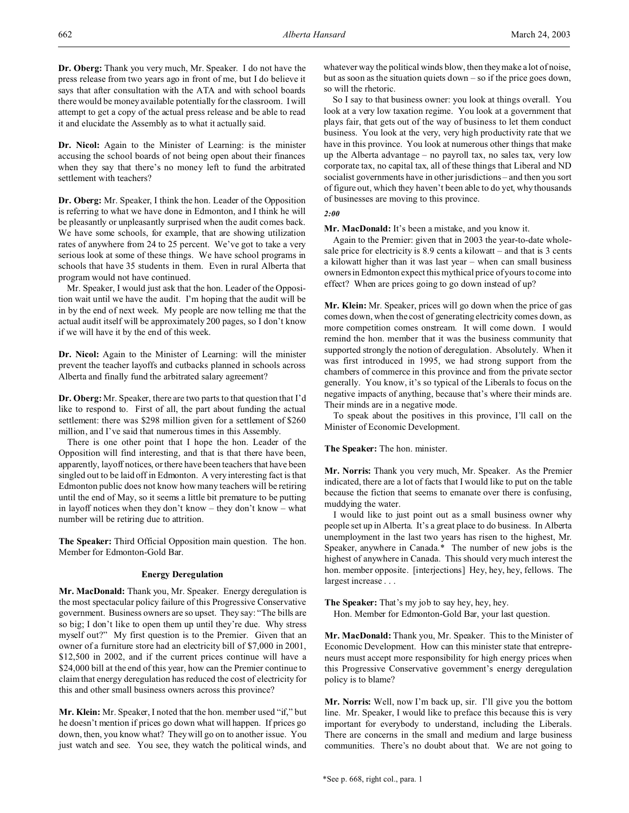**Dr. Oberg:** Thank you very much, Mr. Speaker. I do not have the press release from two years ago in front of me, but I do believe it says that after consultation with the ATA and with school boards there would be money available potentially for the classroom. I will attempt to get a copy of the actual press release and be able to read it and elucidate the Assembly as to what it actually said.

**Dr. Nicol:** Again to the Minister of Learning: is the minister accusing the school boards of not being open about their finances when they say that there's no money left to fund the arbitrated settlement with teachers?

**Dr. Oberg:** Mr. Speaker, I think the hon. Leader of the Opposition is referring to what we have done in Edmonton, and I think he will be pleasantly or unpleasantly surprised when the audit comes back. We have some schools, for example, that are showing utilization rates of anywhere from 24 to 25 percent. We've got to take a very serious look at some of these things. We have school programs in schools that have 35 students in them. Even in rural Alberta that program would not have continued.

Mr. Speaker, I would just ask that the hon. Leader of the Opposition wait until we have the audit. I'm hoping that the audit will be in by the end of next week. My people are now telling me that the actual audit itself will be approximately 200 pages, so I don't know if we will have it by the end of this week.

**Dr. Nicol:** Again to the Minister of Learning: will the minister prevent the teacher layoffs and cutbacks planned in schools across Alberta and finally fund the arbitrated salary agreement?

**Dr. Oberg:** Mr. Speaker, there are two parts to that question that I'd like to respond to. First of all, the part about funding the actual settlement: there was \$298 million given for a settlement of \$260 million, and I've said that numerous times in this Assembly.

There is one other point that I hope the hon. Leader of the Opposition will find interesting, and that is that there have been, apparently, layoff notices, or there have been teachers that have been singled out to be laid off in Edmonton. A very interesting fact is that Edmonton public does not know how many teachers will be retiring until the end of May, so it seems a little bit premature to be putting in layoff notices when they don't know – they don't know – what number will be retiring due to attrition.

**The Speaker:** Third Official Opposition main question. The hon. Member for Edmonton-Gold Bar.

# **Energy Deregulation**

**Mr. MacDonald:** Thank you, Mr. Speaker. Energy deregulation is the most spectacular policy failure of this Progressive Conservative government. Business owners are so upset. They say: "The bills are so big; I don't like to open them up until they're due. Why stress myself out?" My first question is to the Premier. Given that an owner of a furniture store had an electricity bill of \$7,000 in 2001, \$12,500 in 2002, and if the current prices continue will have a \$24,000 bill at the end of this year, how can the Premier continue to claim that energy deregulation has reduced the cost of electricity for this and other small business owners across this province?

**Mr. Klein:** Mr. Speaker, I noted that the hon. member used "if," but he doesn't mention if prices go down what will happen. If prices go down, then, you know what? They will go on to another issue. You just watch and see. You see, they watch the political winds, and

whatever way the political winds blow, then they make a lot of noise, but as soon as the situation quiets down – so if the price goes down, so will the rhetoric.

So I say to that business owner: you look at things overall. You look at a very low taxation regime. You look at a government that plays fair, that gets out of the way of business to let them conduct business. You look at the very, very high productivity rate that we have in this province. You look at numerous other things that make up the Alberta advantage – no payroll tax, no sales tax, very low corporate tax, no capital tax, all of these things that Liberal and ND socialist governments have in other jurisdictions – and then you sort of figure out, which they haven't been able to do yet, why thousands of businesses are moving to this province.

# *2:00*

**Mr. MacDonald:** It's been a mistake, and you know it.

Again to the Premier: given that in 2003 the year-to-date wholesale price for electricity is 8.9 cents a kilowatt – and that is 3 cents a kilowatt higher than it was last year – when can small business owners in Edmonton expect this mythical price of yours to come into effect? When are prices going to go down instead of up?

**Mr. Klein:** Mr. Speaker, prices will go down when the price of gas comes down, when the cost of generating electricity comes down, as more competition comes onstream. It will come down. I would remind the hon. member that it was the business community that supported strongly the notion of deregulation. Absolutely. When it was first introduced in 1995, we had strong support from the chambers of commerce in this province and from the private sector generally. You know, it's so typical of the Liberals to focus on the negative impacts of anything, because that's where their minds are. Their minds are in a negative mode.

To speak about the positives in this province, I'll call on the Minister of Economic Development.

### **The Speaker:** The hon. minister.

**Mr. Norris:** Thank you very much, Mr. Speaker. As the Premier indicated, there are a lot of facts that I would like to put on the table because the fiction that seems to emanate over there is confusing, muddying the water.

I would like to just point out as a small business owner why people set up in Alberta. It's a great place to do business. In Alberta unemployment in the last two years has risen to the highest, Mr. Speaker, anywhere in Canada.\* The number of new jobs is the highest of anywhere in Canada. This should very much interest the hon. member opposite. [interjections] Hey, hey, hey, fellows. The largest increase . . .

**The Speaker:** That's my job to say hey, hey, hey. Hon. Member for Edmonton-Gold Bar, your last question.

**Mr. MacDonald:** Thank you, Mr. Speaker. This to the Minister of Economic Development. How can this minister state that entrepreneurs must accept more responsibility for high energy prices when this Progressive Conservative government's energy deregulation policy is to blame?

**Mr. Norris:** Well, now I'm back up, sir. I'll give you the bottom line. Mr. Speaker, I would like to preface this because this is very important for everybody to understand, including the Liberals. There are concerns in the small and medium and large business communities. There's no doubt about that. We are not going to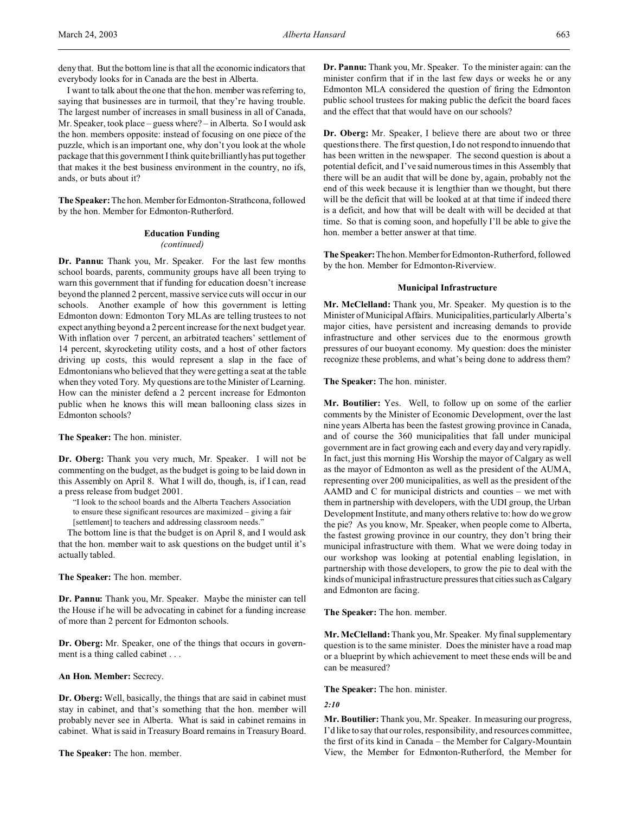deny that. But the bottom line is that all the economic indicators that everybody looks for in Canada are the best in Alberta.

I want to talk about the one that the hon. member was referring to, saying that businesses are in turmoil, that they're having trouble. The largest number of increases in small business in all of Canada, Mr. Speaker, took place – guess where? – in Alberta. So I would ask the hon. members opposite: instead of focusing on one piece of the puzzle, which is an important one, why don't you look at the whole package that this government I think quite brilliantly has put together that makes it the best business environment in the country, no ifs, ands, or buts about it?

The Speaker: The hon. Member for Edmonton-Strathcona, followed by the hon. Member for Edmonton-Rutherford.

#### **Education Funding**

#### *(continued)*

**Dr. Pannu:** Thank you, Mr. Speaker. For the last few months school boards, parents, community groups have all been trying to warn this government that if funding for education doesn't increase beyond the planned 2 percent, massive service cuts will occur in our schools. Another example of how this government is letting Edmonton down: Edmonton Tory MLAs are telling trustees to not expect anything beyond a 2 percent increase for the next budget year. With inflation over 7 percent, an arbitrated teachers' settlement of 14 percent, skyrocketing utility costs, and a host of other factors driving up costs, this would represent a slap in the face of Edmontonians who believed that they were getting a seat at the table when they voted Tory. My questions are to the Minister of Learning. How can the minister defend a 2 percent increase for Edmonton public when he knows this will mean ballooning class sizes in Edmonton schools?

#### **The Speaker:** The hon. minister.

**Dr. Oberg:** Thank you very much, Mr. Speaker. I will not be commenting on the budget, as the budget is going to be laid down in this Assembly on April 8. What I will do, though, is, if I can, read a press release from budget 2001.

"I look to the school boards and the Alberta Teachers Association to ensure these significant resources are maximized – giving a fair [settlement] to teachers and addressing classroom needs."

The bottom line is that the budget is on April 8, and I would ask that the hon. member wait to ask questions on the budget until it's actually tabled.

### **The Speaker:** The hon. member.

**Dr. Pannu:** Thank you, Mr. Speaker. Maybe the minister can tell the House if he will be advocating in cabinet for a funding increase of more than 2 percent for Edmonton schools.

**Dr. Oberg:** Mr. Speaker, one of the things that occurs in government is a thing called cabinet . . .

### **An Hon. Member:** Secrecy.

**Dr. Oberg:** Well, basically, the things that are said in cabinet must stay in cabinet, and that's something that the hon. member will probably never see in Alberta. What is said in cabinet remains in cabinet. What is said in Treasury Board remains in Treasury Board.

**The Speaker:** The hon. member.

**Dr. Pannu:** Thank you, Mr. Speaker. To the minister again: can the minister confirm that if in the last few days or weeks he or any Edmonton MLA considered the question of firing the Edmonton public school trustees for making public the deficit the board faces and the effect that that would have on our schools?

**Dr. Oberg:** Mr. Speaker, I believe there are about two or three questions there. The first question, I do not respond to innuendo that has been written in the newspaper. The second question is about a potential deficit, and I've said numerous times in this Assembly that there will be an audit that will be done by, again, probably not the end of this week because it is lengthier than we thought, but there will be the deficit that will be looked at at that time if indeed there is a deficit, and how that will be dealt with will be decided at that time. So that is coming soon, and hopefully I'll be able to give the hon. member a better answer at that time.

The Speaker: The hon. Member for Edmonton-Rutherford, followed by the hon. Member for Edmonton-Riverview.

## **Municipal Infrastructure**

**Mr. McClelland:** Thank you, Mr. Speaker. My question is to the Minister of Municipal Affairs. Municipalities, particularly Alberta's major cities, have persistent and increasing demands to provide infrastructure and other services due to the enormous growth pressures of our buoyant economy. My question: does the minister recognize these problems, and what's being done to address them?

**The Speaker:** The hon. minister.

**Mr. Boutilier:** Yes. Well, to follow up on some of the earlier comments by the Minister of Economic Development, over the last nine years Alberta has been the fastest growing province in Canada, and of course the 360 municipalities that fall under municipal government are in fact growing each and every day and very rapidly. In fact, just this morning His Worship the mayor of Calgary as well as the mayor of Edmonton as well as the president of the AUMA, representing over 200 municipalities, as well as the president of the AAMD and C for municipal districts and counties – we met with them in partnership with developers, with the UDI group, the Urban Development Institute, and many others relative to: how do we grow the pie? As you know, Mr. Speaker, when people come to Alberta, the fastest growing province in our country, they don't bring their municipal infrastructure with them. What we were doing today in our workshop was looking at potential enabling legislation, in partnership with those developers, to grow the pie to deal with the kinds of municipal infrastructure pressures that cities such as Calgary and Edmonton are facing.

**The Speaker:** The hon. member.

**Mr. McClelland:** Thank you, Mr. Speaker. My final supplementary question is to the same minister. Does the minister have a road map or a blueprint by which achievement to meet these ends will be and can be measured?

**The Speaker:** The hon. minister.

#### *2:10*

**Mr. Boutilier:** Thank you, Mr. Speaker. In measuring our progress, I'd like to say that our roles, responsibility, and resources committee, the first of its kind in Canada – the Member for Calgary-Mountain View, the Member for Edmonton-Rutherford, the Member for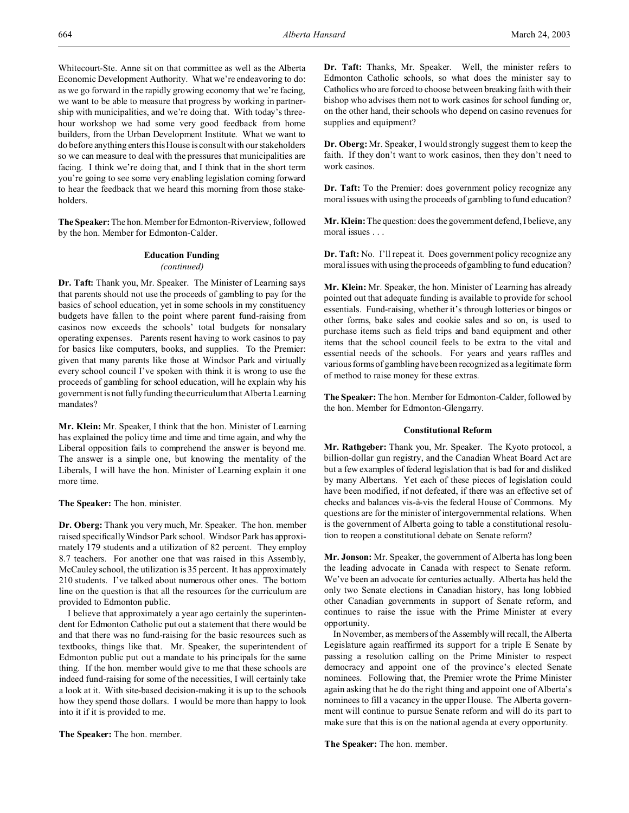Whitecourt-Ste. Anne sit on that committee as well as the Alberta Economic Development Authority. What we're endeavoring to do: as we go forward in the rapidly growing economy that we're facing, we want to be able to measure that progress by working in partnership with municipalities, and we're doing that. With today's threehour workshop we had some very good feedback from home builders, from the Urban Development Institute. What we want to do before anything enters this House is consult with our stakeholders so we can measure to deal with the pressures that municipalities are facing. I think we're doing that, and I think that in the short term you're going to see some very enabling legislation coming forward to hear the feedback that we heard this morning from those stakeholders.

**The Speaker:** The hon. Member for Edmonton-Riverview, followed by the hon. Member for Edmonton-Calder.

# **Education Funding** *(continued)*

**Dr. Taft:** Thank you, Mr. Speaker. The Minister of Learning says that parents should not use the proceeds of gambling to pay for the basics of school education, yet in some schools in my constituency budgets have fallen to the point where parent fund-raising from casinos now exceeds the schools' total budgets for nonsalary operating expenses. Parents resent having to work casinos to pay for basics like computers, books, and supplies. To the Premier: given that many parents like those at Windsor Park and virtually every school council I've spoken with think it is wrong to use the proceeds of gambling for school education, will he explain why his government is not fully funding the curriculum that Alberta Learning mandates?

**Mr. Klein:** Mr. Speaker, I think that the hon. Minister of Learning has explained the policy time and time and time again, and why the Liberal opposition fails to comprehend the answer is beyond me. The answer is a simple one, but knowing the mentality of the Liberals, I will have the hon. Minister of Learning explain it one more time.

**The Speaker:** The hon. minister.

**Dr. Oberg:** Thank you very much, Mr. Speaker. The hon. member raised specifically Windsor Park school. Windsor Park has approximately 179 students and a utilization of 82 percent. They employ 8.7 teachers. For another one that was raised in this Assembly, McCauley school, the utilization is 35 percent. It has approximately 210 students. I've talked about numerous other ones. The bottom line on the question is that all the resources for the curriculum are provided to Edmonton public.

I believe that approximately a year ago certainly the superintendent for Edmonton Catholic put out a statement that there would be and that there was no fund-raising for the basic resources such as textbooks, things like that. Mr. Speaker, the superintendent of Edmonton public put out a mandate to his principals for the same thing. If the hon. member would give to me that these schools are indeed fund-raising for some of the necessities, I will certainly take a look at it. With site-based decision-making it is up to the schools how they spend those dollars. I would be more than happy to look into it if it is provided to me.

**The Speaker:** The hon. member.

**Dr. Taft:** Thanks, Mr. Speaker. Well, the minister refers to Edmonton Catholic schools, so what does the minister say to Catholics who are forced to choose between breaking faith with their bishop who advises them not to work casinos for school funding or, on the other hand, their schools who depend on casino revenues for supplies and equipment?

**Dr. Oberg:** Mr. Speaker, I would strongly suggest them to keep the faith. If they don't want to work casinos, then they don't need to work casinos.

**Dr. Taft:** To the Premier: does government policy recognize any moral issues with using the proceeds of gambling to fund education?

**Mr. Klein:** The question: does the government defend, I believe, any moral issues . . .

**Dr. Taft:** No. I'll repeat it. Does government policy recognize any moral issues with using the proceeds of gambling to fund education?

**Mr. Klein:** Mr. Speaker, the hon. Minister of Learning has already pointed out that adequate funding is available to provide for school essentials. Fund-raising, whether it's through lotteries or bingos or other forms, bake sales and cookie sales and so on, is used to purchase items such as field trips and band equipment and other items that the school council feels to be extra to the vital and essential needs of the schools. For years and years raffles and various forms of gambling have been recognized as a legitimate form of method to raise money for these extras.

**The Speaker:** The hon. Member for Edmonton-Calder, followed by the hon. Member for Edmonton-Glengarry.

#### **Constitutional Reform**

**Mr. Rathgeber:** Thank you, Mr. Speaker. The Kyoto protocol, a billion-dollar gun registry, and the Canadian Wheat Board Act are but a few examples of federal legislation that is bad for and disliked by many Albertans. Yet each of these pieces of legislation could have been modified, if not defeated, if there was an effective set of checks and balances vis-à-vis the federal House of Commons. My questions are for the minister of intergovernmental relations. When is the government of Alberta going to table a constitutional resolution to reopen a constitutional debate on Senate reform?

**Mr. Jonson:** Mr. Speaker, the government of Alberta has long been the leading advocate in Canada with respect to Senate reform. We've been an advocate for centuries actually. Alberta has held the only two Senate elections in Canadian history, has long lobbied other Canadian governments in support of Senate reform, and continues to raise the issue with the Prime Minister at every opportunity.

In November, as members of the Assembly will recall, the Alberta Legislature again reaffirmed its support for a triple E Senate by passing a resolution calling on the Prime Minister to respect democracy and appoint one of the province's elected Senate nominees. Following that, the Premier wrote the Prime Minister again asking that he do the right thing and appoint one of Alberta's nominees to fill a vacancy in the upper House. The Alberta government will continue to pursue Senate reform and will do its part to make sure that this is on the national agenda at every opportunity.

**The Speaker:** The hon. member.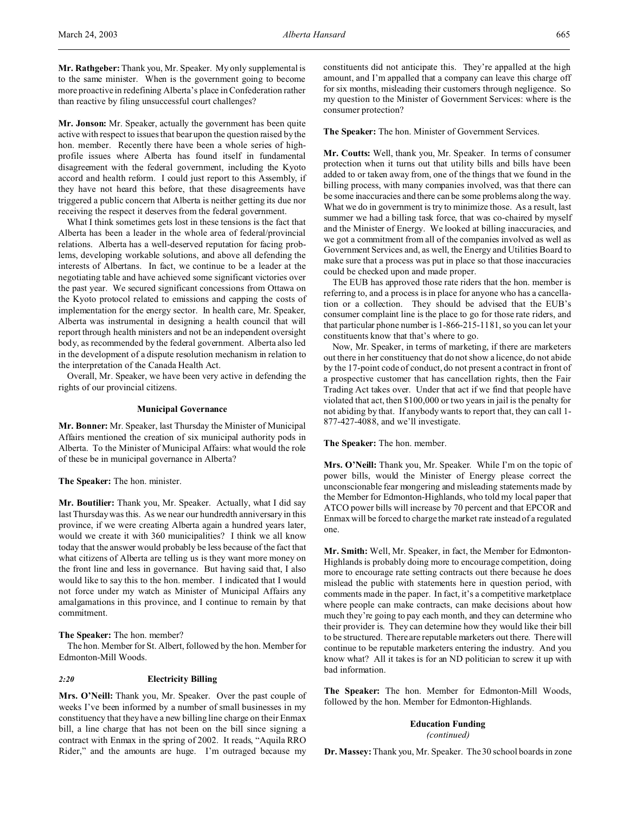**Mr. Rathgeber:**Thank you, Mr. Speaker. My only supplemental is to the same minister. When is the government going to become more proactive in redefining Alberta's place in Confederation rather than reactive by filing unsuccessful court challenges?

**Mr. Jonson:** Mr. Speaker, actually the government has been quite active with respect to issues that bear upon the question raised by the hon. member. Recently there have been a whole series of highprofile issues where Alberta has found itself in fundamental disagreement with the federal government, including the Kyoto accord and health reform. I could just report to this Assembly, if they have not heard this before, that these disagreements have triggered a public concern that Alberta is neither getting its due nor receiving the respect it deserves from the federal government.

What I think sometimes gets lost in these tensions is the fact that Alberta has been a leader in the whole area of federal/provincial relations. Alberta has a well-deserved reputation for facing problems, developing workable solutions, and above all defending the interests of Albertans. In fact, we continue to be a leader at the negotiating table and have achieved some significant victories over the past year. We secured significant concessions from Ottawa on the Kyoto protocol related to emissions and capping the costs of implementation for the energy sector. In health care, Mr. Speaker, Alberta was instrumental in designing a health council that will report through health ministers and not be an independent oversight body, as recommended by the federal government. Alberta also led in the development of a dispute resolution mechanism in relation to the interpretation of the Canada Health Act.

Overall, Mr. Speaker, we have been very active in defending the rights of our provincial citizens.

# **Municipal Governance**

**Mr. Bonner:** Mr. Speaker, last Thursday the Minister of Municipal Affairs mentioned the creation of six municipal authority pods in Alberta. To the Minister of Municipal Affairs: what would the role of these be in municipal governance in Alberta?

**The Speaker:** The hon. minister.

**Mr. Boutilier:** Thank you, Mr. Speaker. Actually, what I did say last Thursday was this. As we near our hundredth anniversary in this province, if we were creating Alberta again a hundred years later, would we create it with 360 municipalities? I think we all know today that the answer would probably be less because of the fact that what citizens of Alberta are telling us is they want more money on the front line and less in governance. But having said that, I also would like to say this to the hon. member. I indicated that I would not force under my watch as Minister of Municipal Affairs any amalgamations in this province, and I continue to remain by that commitment.

**The Speaker:** The hon. member?

The hon. Member for St. Albert, followed by the hon. Member for Edmonton-Mill Woods.

### *2:20* **Electricity Billing**

**Mrs. O'Neill:** Thank you, Mr. Speaker. Over the past couple of weeks I've been informed by a number of small businesses in my constituency that they have a new billing line charge on their Enmax bill, a line charge that has not been on the bill since signing a contract with Enmax in the spring of 2002. It reads, "Aquila RRO Rider," and the amounts are huge. I'm outraged because my constituents did not anticipate this. They're appalled at the high amount, and I'm appalled that a company can leave this charge off for six months, misleading their customers through negligence. So my question to the Minister of Government Services: where is the consumer protection?

**The Speaker:** The hon. Minister of Government Services.

**Mr. Coutts:** Well, thank you, Mr. Speaker. In terms of consumer protection when it turns out that utility bills and bills have been added to or taken away from, one of the things that we found in the billing process, with many companies involved, was that there can be some inaccuracies and there can be some problems along the way. What we do in government is try to minimize those. As a result, last summer we had a billing task force, that was co-chaired by myself and the Minister of Energy. We looked at billing inaccuracies, and we got a commitment from all of the companies involved as well as Government Services and, as well, the Energy and Utilities Board to make sure that a process was put in place so that those inaccuracies could be checked upon and made proper.

The EUB has approved those rate riders that the hon. member is referring to, and a process is in place for anyone who has a cancellation or a collection. They should be advised that the EUB's consumer complaint line is the place to go for those rate riders, and that particular phone number is 1-866-215-1181, so you can let your constituents know that that's where to go.

Now, Mr. Speaker, in terms of marketing, if there are marketers out there in her constituency that do not show a licence, do not abide by the 17-point code of conduct, do not present a contract in front of a prospective customer that has cancellation rights, then the Fair Trading Act takes over. Under that act if we find that people have violated that act, then \$100,000 or two years in jail is the penalty for not abiding by that. If anybody wants to report that, they can call 1- 877-427-4088, and we'll investigate.

**The Speaker:** The hon. member.

**Mrs. O'Neill:** Thank you, Mr. Speaker. While I'm on the topic of power bills, would the Minister of Energy please correct the unconscionable fear mongering and misleading statements made by the Member for Edmonton-Highlands, who told my local paper that ATCO power bills will increase by 70 percent and that EPCOR and Enmax will be forced to charge the market rate instead of a regulated one.

**Mr. Smith:** Well, Mr. Speaker, in fact, the Member for Edmonton-Highlands is probably doing more to encourage competition, doing more to encourage rate setting contracts out there because he does mislead the public with statements here in question period, with comments made in the paper. In fact, it's a competitive marketplace where people can make contracts, can make decisions about how much they're going to pay each month, and they can determine who their provider is. They can determine how they would like their bill to be structured. There are reputable marketers out there. There will continue to be reputable marketers entering the industry. And you know what? All it takes is for an ND politician to screw it up with bad information.

**The Speaker:** The hon. Member for Edmonton-Mill Woods, followed by the hon. Member for Edmonton-Highlands.

**Education Funding**

*(continued)*

**Dr. Massey:** Thank you, Mr. Speaker. The 30 school boards in zone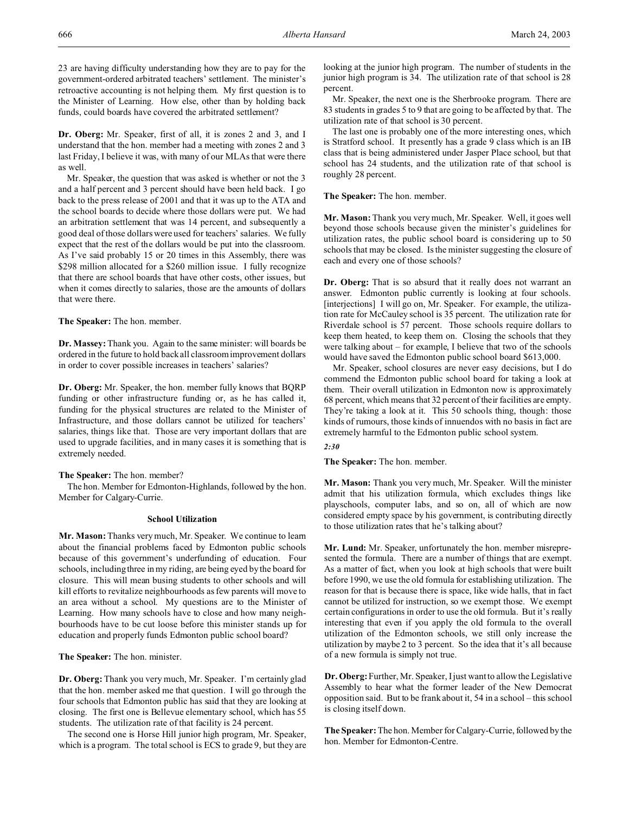23 are having difficulty understanding how they are to pay for the government-ordered arbitrated teachers' settlement. The minister's retroactive accounting is not helping them. My first question is to the Minister of Learning. How else, other than by holding back funds, could boards have covered the arbitrated settlement?

**Dr. Oberg:** Mr. Speaker, first of all, it is zones 2 and 3, and I understand that the hon. member had a meeting with zones 2 and 3 last Friday, I believe it was, with many of our MLAs that were there as well.

Mr. Speaker, the question that was asked is whether or not the 3 and a half percent and 3 percent should have been held back. I go back to the press release of 2001 and that it was up to the ATA and the school boards to decide where those dollars were put. We had an arbitration settlement that was 14 percent, and subsequently a good deal of those dollars were used for teachers' salaries. We fully expect that the rest of the dollars would be put into the classroom. As I've said probably 15 or 20 times in this Assembly, there was \$298 million allocated for a \$260 million issue. I fully recognize that there are school boards that have other costs, other issues, but when it comes directly to salaries, those are the amounts of dollars that were there.

**The Speaker:** The hon. member.

**Dr. Massey:** Thank you. Again to the same minister: will boards be ordered in the future to hold back all classroom improvement dollars in order to cover possible increases in teachers' salaries?

**Dr. Oberg:** Mr. Speaker, the hon. member fully knows that BQRP funding or other infrastructure funding or, as he has called it, funding for the physical structures are related to the Minister of Infrastructure, and those dollars cannot be utilized for teachers' salaries, things like that. Those are very important dollars that are used to upgrade facilities, and in many cases it is something that is extremely needed.

**The Speaker:** The hon. member?

The hon. Member for Edmonton-Highlands, followed by the hon. Member for Calgary-Currie.

## **School Utilization**

**Mr. Mason:** Thanks very much, Mr. Speaker. We continue to learn about the financial problems faced by Edmonton public schools because of this government's underfunding of education. Four schools, including three in my riding, are being eyed by the board for closure. This will mean busing students to other schools and will kill efforts to revitalize neighbourhoods as few parents will move to an area without a school. My questions are to the Minister of Learning. How many schools have to close and how many neighbourhoods have to be cut loose before this minister stands up for education and properly funds Edmonton public school board?

**The Speaker:** The hon. minister.

**Dr. Oberg:** Thank you very much, Mr. Speaker. I'm certainly glad that the hon. member asked me that question. I will go through the four schools that Edmonton public has said that they are looking at closing. The first one is Bellevue elementary school, which has 55 students. The utilization rate of that facility is 24 percent.

The second one is Horse Hill junior high program, Mr. Speaker, which is a program. The total school is ECS to grade 9, but they are looking at the junior high program. The number of students in the junior high program is 34. The utilization rate of that school is 28 percent.

Mr. Speaker, the next one is the Sherbrooke program. There are 83 students in grades 5 to 9 that are going to be affected by that. The utilization rate of that school is 30 percent.

The last one is probably one of the more interesting ones, which is Stratford school. It presently has a grade 9 class which is an IB class that is being administered under Jasper Place school, but that school has 24 students, and the utilization rate of that school is roughly 28 percent.

**The Speaker:** The hon. member.

**Mr. Mason:** Thank you very much, Mr. Speaker. Well, it goes well beyond those schools because given the minister's guidelines for utilization rates, the public school board is considering up to 50 schools that may be closed. Is the minister suggesting the closure of each and every one of those schools?

**Dr. Oberg:** That is so absurd that it really does not warrant an answer. Edmonton public currently is looking at four schools. [interjections] I will go on, Mr. Speaker. For example, the utilization rate for McCauley school is 35 percent. The utilization rate for Riverdale school is 57 percent. Those schools require dollars to keep them heated, to keep them on. Closing the schools that they were talking about – for example, I believe that two of the schools would have saved the Edmonton public school board \$613,000.

Mr. Speaker, school closures are never easy decisions, but I do commend the Edmonton public school board for taking a look at them. Their overall utilization in Edmonton now is approximately 68 percent, which means that 32 percent of their facilities are empty. They're taking a look at it. This 50 schools thing, though: those kinds of rumours, those kinds of innuendos with no basis in fact are extremely harmful to the Edmonton public school system.

*2:30*

**The Speaker:** The hon. member.

**Mr. Mason:** Thank you very much, Mr. Speaker. Will the minister admit that his utilization formula, which excludes things like playschools, computer labs, and so on, all of which are now considered empty space by his government, is contributing directly to those utilization rates that he's talking about?

**Mr. Lund:** Mr. Speaker, unfortunately the hon. member misrepresented the formula. There are a number of things that are exempt. As a matter of fact, when you look at high schools that were built before 1990, we use the old formula for establishing utilization. The reason for that is because there is space, like wide halls, that in fact cannot be utilized for instruction, so we exempt those. We exempt certain configurations in order to use the old formula. But it's really interesting that even if you apply the old formula to the overall utilization of the Edmonton schools, we still only increase the utilization by maybe 2 to 3 percent. So the idea that it's all because of a new formula is simply not true.

**Dr. Oberg:**Further, Mr. Speaker, I just want to allow the Legislative Assembly to hear what the former leader of the New Democrat opposition said. But to be frank about it, 54 in a school – this school is closing itself down.

**The Speaker:** The hon. Member for Calgary-Currie, followed by the hon. Member for Edmonton-Centre.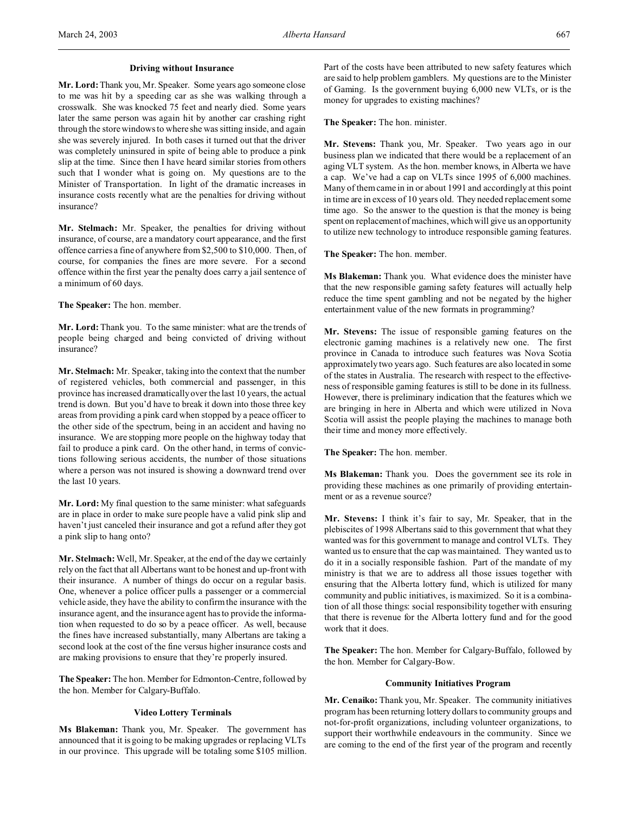### **Driving without Insurance**

**Mr. Lord:**Thank you, Mr. Speaker. Some years ago someone close to me was hit by a speeding car as she was walking through a crosswalk. She was knocked 75 feet and nearly died. Some years later the same person was again hit by another car crashing right through the store windows to where she was sitting inside, and again she was severely injured. In both cases it turned out that the driver was completely uninsured in spite of being able to produce a pink slip at the time. Since then I have heard similar stories from others such that I wonder what is going on. My questions are to the Minister of Transportation. In light of the dramatic increases in insurance costs recently what are the penalties for driving without insurance?

**Mr. Stelmach:** Mr. Speaker, the penalties for driving without insurance, of course, are a mandatory court appearance, and the first offence carries a fine of anywhere from \$2,500 to \$10,000. Then, of course, for companies the fines are more severe. For a second offence within the first year the penalty does carry a jail sentence of a minimum of 60 days.

### **The Speaker:** The hon. member.

**Mr. Lord:** Thank you. To the same minister: what are the trends of people being charged and being convicted of driving without insurance?

**Mr. Stelmach:** Mr. Speaker, taking into the context that the number of registered vehicles, both commercial and passenger, in this province has increased dramatically over the last 10 years, the actual trend is down. But you'd have to break it down into those three key areas from providing a pink card when stopped by a peace officer to the other side of the spectrum, being in an accident and having no insurance. We are stopping more people on the highway today that fail to produce a pink card. On the other hand, in terms of convictions following serious accidents, the number of those situations where a person was not insured is showing a downward trend over the last 10 years.

**Mr. Lord:** My final question to the same minister: what safeguards are in place in order to make sure people have a valid pink slip and haven't just canceled their insurance and got a refund after they got a pink slip to hang onto?

**Mr. Stelmach:** Well, Mr. Speaker, at the end of the day we certainly rely on the fact that all Albertans want to be honest and up-front with their insurance. A number of things do occur on a regular basis. One, whenever a police officer pulls a passenger or a commercial vehicle aside, they have the ability to confirm the insurance with the insurance agent, and the insurance agent has to provide the information when requested to do so by a peace officer. As well, because the fines have increased substantially, many Albertans are taking a second look at the cost of the fine versus higher insurance costs and are making provisions to ensure that they're properly insured.

**The Speaker:** The hon. Member for Edmonton-Centre, followed by the hon. Member for Calgary-Buffalo.

## **Video Lottery Terminals**

**Ms Blakeman:** Thank you, Mr. Speaker. The government has announced that it is going to be making upgrades or replacing VLTs in our province. This upgrade will be totaling some \$105 million. Part of the costs have been attributed to new safety features which are said to help problem gamblers. My questions are to the Minister of Gaming. Is the government buying 6,000 new VLTs, or is the money for upgrades to existing machines?

**The Speaker:** The hon. minister.

**Mr. Stevens:** Thank you, Mr. Speaker. Two years ago in our business plan we indicated that there would be a replacement of an aging VLT system. As the hon. member knows, in Alberta we have a cap. We've had a cap on VLTs since 1995 of 6,000 machines. Many of them came in in or about 1991 and accordingly at this point in time are in excess of 10 years old. They needed replacement some time ago. So the answer to the question is that the money is being spent on replacement of machines, which will give us an opportunity to utilize new technology to introduce responsible gaming features.

**The Speaker:** The hon. member.

**Ms Blakeman:** Thank you. What evidence does the minister have that the new responsible gaming safety features will actually help reduce the time spent gambling and not be negated by the higher entertainment value of the new formats in programming?

**Mr. Stevens:** The issue of responsible gaming features on the electronic gaming machines is a relatively new one. The first province in Canada to introduce such features was Nova Scotia approximately two years ago. Such features are also located in some of the states in Australia. The research with respect to the effectiveness of responsible gaming features is still to be done in its fullness. However, there is preliminary indication that the features which we are bringing in here in Alberta and which were utilized in Nova Scotia will assist the people playing the machines to manage both their time and money more effectively.

**The Speaker:** The hon. member.

**Ms Blakeman:** Thank you. Does the government see its role in providing these machines as one primarily of providing entertainment or as a revenue source?

**Mr. Stevens:** I think it's fair to say, Mr. Speaker, that in the plebiscites of 1998 Albertans said to this government that what they wanted was for this government to manage and control VLTs. They wanted us to ensure that the cap was maintained. They wanted us to do it in a socially responsible fashion. Part of the mandate of my ministry is that we are to address all those issues together with ensuring that the Alberta lottery fund, which is utilized for many community and public initiatives, is maximized. So it is a combination of all those things: social responsibility together with ensuring that there is revenue for the Alberta lottery fund and for the good work that it does.

**The Speaker:** The hon. Member for Calgary-Buffalo, followed by the hon. Member for Calgary-Bow.

## **Community Initiatives Program**

**Mr. Cenaiko:** Thank you, Mr. Speaker. The community initiatives program has been returning lottery dollars to community groups and not-for-profit organizations, including volunteer organizations, to support their worthwhile endeavours in the community. Since we are coming to the end of the first year of the program and recently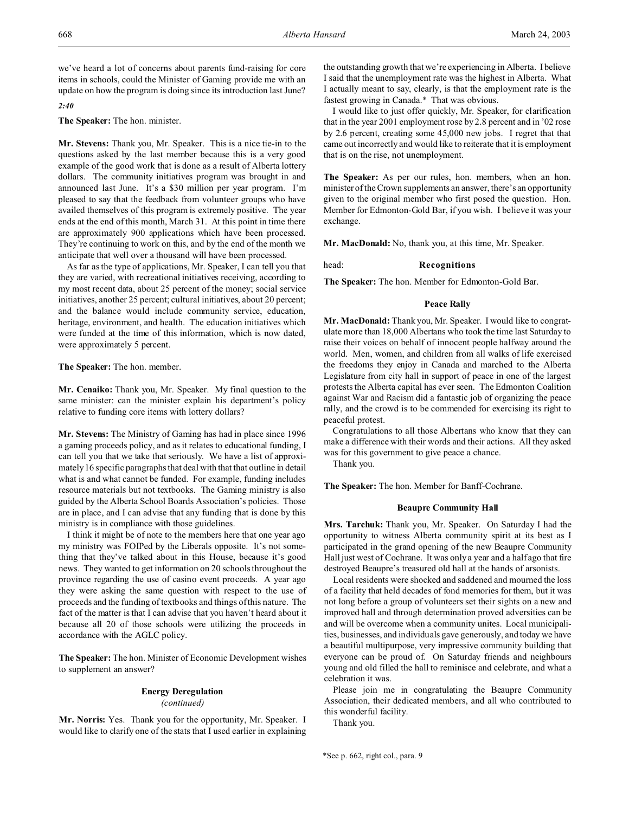we've heard a lot of concerns about parents fund-raising for core items in schools, could the Minister of Gaming provide me with an update on how the program is doing since its introduction last June?

# *2:40*

**The Speaker:** The hon. minister.

**Mr. Stevens:** Thank you, Mr. Speaker. This is a nice tie-in to the questions asked by the last member because this is a very good example of the good work that is done as a result of Alberta lottery dollars. The community initiatives program was brought in and announced last June. It's a \$30 million per year program. I'm pleased to say that the feedback from volunteer groups who have availed themselves of this program is extremely positive. The year ends at the end of this month, March 31. At this point in time there are approximately 900 applications which have been processed. They're continuing to work on this, and by the end of the month we anticipate that well over a thousand will have been processed.

As far as the type of applications, Mr. Speaker, I can tell you that they are varied, with recreational initiatives receiving, according to my most recent data, about 25 percent of the money; social service initiatives, another 25 percent; cultural initiatives, about 20 percent; and the balance would include community service, education, heritage, environment, and health. The education initiatives which were funded at the time of this information, which is now dated, were approximately 5 percent.

**The Speaker:** The hon. member.

**Mr. Cenaiko:** Thank you, Mr. Speaker. My final question to the same minister: can the minister explain his department's policy relative to funding core items with lottery dollars?

**Mr. Stevens:** The Ministry of Gaming has had in place since 1996 a gaming proceeds policy, and as it relates to educational funding, I can tell you that we take that seriously. We have a list of approximately 16 specific paragraphs that deal with that that outline in detail what is and what cannot be funded. For example, funding includes resource materials but not textbooks. The Gaming ministry is also guided by the Alberta School Boards Association's policies. Those are in place, and I can advise that any funding that is done by this ministry is in compliance with those guidelines.

I think it might be of note to the members here that one year ago my ministry was FOIPed by the Liberals opposite. It's not something that they've talked about in this House, because it's good news. They wanted to get information on 20 schools throughout the province regarding the use of casino event proceeds. A year ago they were asking the same question with respect to the use of proceeds and the funding of textbooks and things of this nature. The fact of the matter is that I can advise that you haven't heard about it because all 20 of those schools were utilizing the proceeds in accordance with the AGLC policy.

**The Speaker:** The hon. Minister of Economic Development wishes to supplement an answer?

# **Energy Deregulation**

*(continued)*

**Mr. Norris:** Yes. Thank you for the opportunity, Mr. Speaker. I would like to clarify one of the stats that I used earlier in explaining the outstanding growth that we're experiencing in Alberta. I believe I said that the unemployment rate was the highest in Alberta. What I actually meant to say, clearly, is that the employment rate is the fastest growing in Canada.\* That was obvious.

I would like to just offer quickly, Mr. Speaker, for clarification that in the year 2001 employment rose by 2.8 percent and in '02 rose by 2.6 percent, creating some 45,000 new jobs. I regret that that came out incorrectly and would like to reiterate that it is employment that is on the rise, not unemployment.

**The Speaker:** As per our rules, hon. members, when an hon. minister of the Crown supplements an answer, there's an opportunity given to the original member who first posed the question. Hon. Member for Edmonton-Gold Bar, if you wish. I believe it was your exchange.

**Mr. MacDonald:** No, thank you, at this time, Mr. Speaker.

head: **Recognitions**

**The Speaker:** The hon. Member for Edmonton-Gold Bar.

### **Peace Rally**

**Mr. MacDonald:** Thank you, Mr. Speaker. I would like to congratulate more than 18,000 Albertans who took the time last Saturday to raise their voices on behalf of innocent people halfway around the world. Men, women, and children from all walks of life exercised the freedoms they enjoy in Canada and marched to the Alberta Legislature from city hall in support of peace in one of the largest protests the Alberta capital has ever seen. The Edmonton Coalition against War and Racism did a fantastic job of organizing the peace rally, and the crowd is to be commended for exercising its right to peaceful protest.

Congratulations to all those Albertans who know that they can make a difference with their words and their actions. All they asked was for this government to give peace a chance.

Thank you.

**The Speaker:** The hon. Member for Banff-Cochrane.

### **Beaupre Community Hall**

**Mrs. Tarchuk:** Thank you, Mr. Speaker. On Saturday I had the opportunity to witness Alberta community spirit at its best as I participated in the grand opening of the new Beaupre Community Hall just west of Cochrane. It was only a year and a half ago that fire destroyed Beaupre's treasured old hall at the hands of arsonists.

Local residents were shocked and saddened and mourned the loss of a facility that held decades of fond memories for them, but it was not long before a group of volunteers set their sights on a new and improved hall and through determination proved adversities can be and will be overcome when a community unites. Local municipalities, businesses, and individuals gave generously, and today we have a beautiful multipurpose, very impressive community building that everyone can be proud of. On Saturday friends and neighbours young and old filled the hall to reminisce and celebrate, and what a celebration it was.

Please join me in congratulating the Beaupre Community Association, their dedicated members, and all who contributed to this wonderful facility.

Thank you.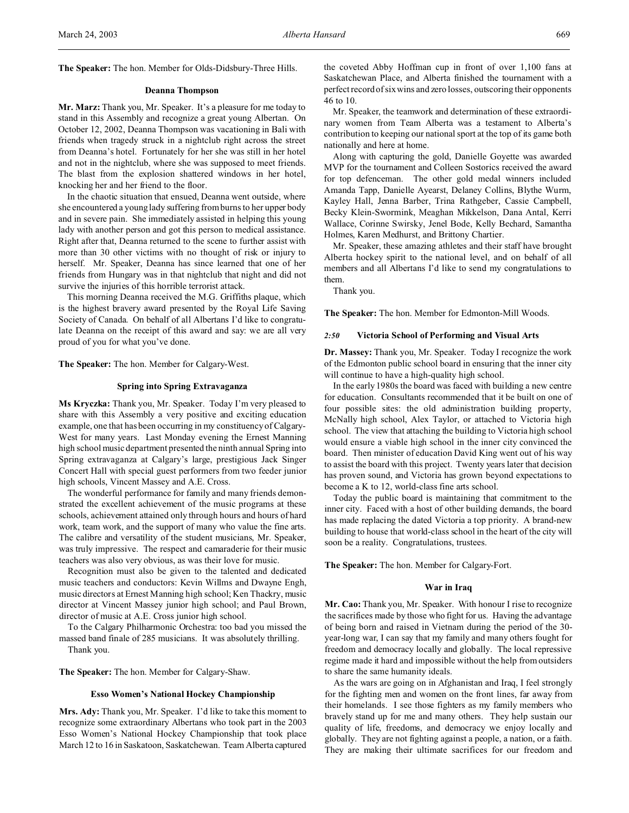#### **Deanna Thompson**

**Mr. Marz:** Thank you, Mr. Speaker. It's a pleasure for me today to stand in this Assembly and recognize a great young Albertan. On October 12, 2002, Deanna Thompson was vacationing in Bali with friends when tragedy struck in a nightclub right across the street from Deanna's hotel. Fortunately for her she was still in her hotel and not in the nightclub, where she was supposed to meet friends. The blast from the explosion shattered windows in her hotel, knocking her and her friend to the floor.

In the chaotic situation that ensued, Deanna went outside, where she encountered a young lady suffering from burns to her upper body and in severe pain. She immediately assisted in helping this young lady with another person and got this person to medical assistance. Right after that, Deanna returned to the scene to further assist with more than 30 other victims with no thought of risk or injury to herself. Mr. Speaker, Deanna has since learned that one of her friends from Hungary was in that nightclub that night and did not survive the injuries of this horrible terrorist attack.

This morning Deanna received the M.G. Griffiths plaque, which is the highest bravery award presented by the Royal Life Saving Society of Canada. On behalf of all Albertans I'd like to congratulate Deanna on the receipt of this award and say: we are all very proud of you for what you've done.

**The Speaker:** The hon. Member for Calgary-West.

#### **Spring into Spring Extravaganza**

**Ms Kryczka:** Thank you, Mr. Speaker. Today I'm very pleased to share with this Assembly a very positive and exciting education example, one that has been occurring in my constituency of Calgary-West for many years. Last Monday evening the Ernest Manning high school music department presented the ninth annual Spring into Spring extravaganza at Calgary's large, prestigious Jack Singer Concert Hall with special guest performers from two feeder junior high schools, Vincent Massey and A.E. Cross.

The wonderful performance for family and many friends demonstrated the excellent achievement of the music programs at these schools, achievement attained only through hours and hours of hard work, team work, and the support of many who value the fine arts. The calibre and versatility of the student musicians, Mr. Speaker, was truly impressive. The respect and camaraderie for their music teachers was also very obvious, as was their love for music.

Recognition must also be given to the talented and dedicated music teachers and conductors: Kevin Willms and Dwayne Engh, music directors at Ernest Manning high school; Ken Thackry, music director at Vincent Massey junior high school; and Paul Brown, director of music at A.E. Cross junior high school.

To the Calgary Philharmonic Orchestra: too bad you missed the massed band finale of 285 musicians. It was absolutely thrilling. Thank you.

**The Speaker:** The hon. Member for Calgary-Shaw.

#### **Esso Women's National Hockey Championship**

**Mrs. Ady:** Thank you, Mr. Speaker. I'd like to take this moment to recognize some extraordinary Albertans who took part in the 2003 Esso Women's National Hockey Championship that took place March 12 to 16 in Saskatoon, Saskatchewan. Team Alberta captured

the coveted Abby Hoffman cup in front of over 1,100 fans at Saskatchewan Place, and Alberta finished the tournament with a perfect record of six wins and zero losses, outscoring their opponents 46 to 10.

Mr. Speaker, the teamwork and determination of these extraordinary women from Team Alberta was a testament to Alberta's contribution to keeping our national sport at the top of its game both nationally and here at home.

Along with capturing the gold, Danielle Goyette was awarded MVP for the tournament and Colleen Sostorics received the award for top defenceman. The other gold medal winners included Amanda Tapp, Danielle Ayearst, Delaney Collins, Blythe Wurm, Kayley Hall, Jenna Barber, Trina Rathgeber, Cassie Campbell, Becky Klein-Swormink, Meaghan Mikkelson, Dana Antal, Kerri Wallace, Corinne Swirsky, Jenel Bode, Kelly Bechard, Samantha Holmes, Karen Medhurst, and Brittony Chartier.

Mr. Speaker, these amazing athletes and their staff have brought Alberta hockey spirit to the national level, and on behalf of all members and all Albertans I'd like to send my congratulations to them.

Thank you.

**The Speaker:** The hon. Member for Edmonton-Mill Woods.

### *2:50* **Victoria School of Performing and Visual Arts**

**Dr. Massey:** Thank you, Mr. Speaker. Today I recognize the work of the Edmonton public school board in ensuring that the inner city will continue to have a high-quality high school.

In the early 1980s the board was faced with building a new centre for education. Consultants recommended that it be built on one of four possible sites: the old administration building property, McNally high school, Alex Taylor, or attached to Victoria high school. The view that attaching the building to Victoria high school would ensure a viable high school in the inner city convinced the board. Then minister of education David King went out of his way to assist the board with this project. Twenty years later that decision has proven sound, and Victoria has grown beyond expectations to become a K to 12, world-class fine arts school.

Today the public board is maintaining that commitment to the inner city. Faced with a host of other building demands, the board has made replacing the dated Victoria a top priority. A brand-new building to house that world-class school in the heart of the city will soon be a reality. Congratulations, trustees.

**The Speaker:** The hon. Member for Calgary-Fort.

#### **War in Iraq**

**Mr. Cao:** Thank you, Mr. Speaker. With honour I rise to recognize the sacrifices made by those who fight for us. Having the advantage of being born and raised in Vietnam during the period of the 30 year-long war, I can say that my family and many others fought for freedom and democracy locally and globally. The local repressive regime made it hard and impossible without the help from outsiders to share the same humanity ideals.

As the wars are going on in Afghanistan and Iraq, I feel strongly for the fighting men and women on the front lines, far away from their homelands. I see those fighters as my family members who bravely stand up for me and many others. They help sustain our quality of life, freedoms, and democracy we enjoy locally and globally. They are not fighting against a people, a nation, or a faith. They are making their ultimate sacrifices for our freedom and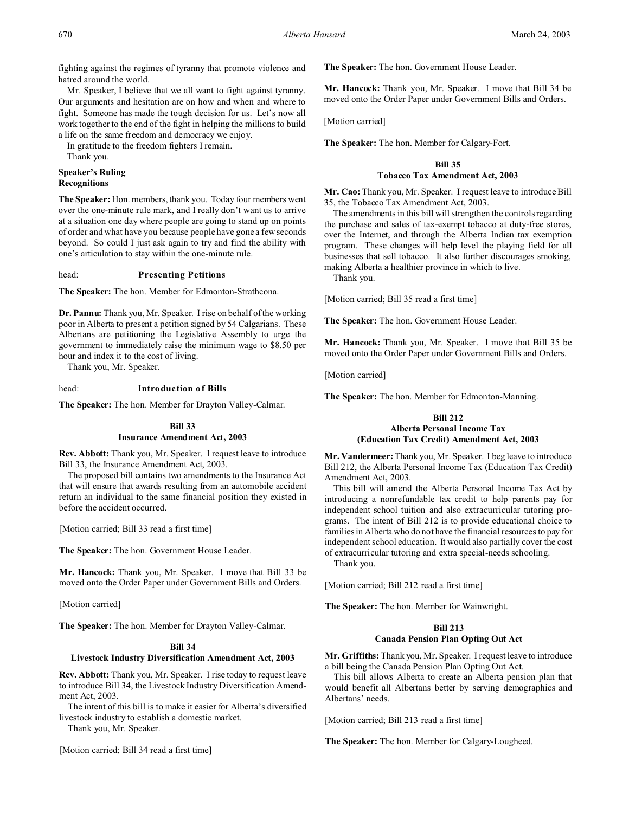fighting against the regimes of tyranny that promote violence and hatred around the world.

Mr. Speaker, I believe that we all want to fight against tyranny. Our arguments and hesitation are on how and when and where to fight. Someone has made the tough decision for us. Let's now all work together to the end of the fight in helping the millions to build a life on the same freedom and democracy we enjoy.

In gratitude to the freedom fighters I remain.

Thank you.

### **Speaker's Ruling Recognitions**

**The Speaker:** Hon. members, thank you. Today four members went over the one-minute rule mark, and I really don't want us to arrive at a situation one day where people are going to stand up on points of order and what have you because people have gone a few seconds beyond. So could I just ask again to try and find the ability with one's articulation to stay within the one-minute rule.

# head: **Presenting Petitions**

**The Speaker:** The hon. Member for Edmonton-Strathcona.

**Dr. Pannu:** Thank you, Mr. Speaker. I rise on behalf of the working poor in Alberta to present a petition signed by 54 Calgarians. These Albertans are petitioning the Legislative Assembly to urge the government to immediately raise the minimum wage to \$8.50 per hour and index it to the cost of living.

Thank you, Mr. Speaker.

### head: **Introduction of Bills**

**The Speaker:** The hon. Member for Drayton Valley-Calmar.

# **Bill 33 Insurance Amendment Act, 2003**

**Rev. Abbott:** Thank you, Mr. Speaker. I request leave to introduce Bill 33, the Insurance Amendment Act, 2003.

The proposed bill contains two amendments to the Insurance Act that will ensure that awards resulting from an automobile accident return an individual to the same financial position they existed in before the accident occurred.

[Motion carried; Bill 33 read a first time]

**The Speaker:** The hon. Government House Leader.

**Mr. Hancock:** Thank you, Mr. Speaker. I move that Bill 33 be moved onto the Order Paper under Government Bills and Orders.

[Motion carried]

**The Speaker:** The hon. Member for Drayton Valley-Calmar.

# **Bill 34**

## **Livestock Industry Diversification Amendment Act, 2003**

**Rev. Abbott:** Thank you, Mr. Speaker. I rise today to request leave to introduce Bill 34, the Livestock Industry Diversification Amendment Act, 2003.

The intent of this bill is to make it easier for Alberta's diversified livestock industry to establish a domestic market.

Thank you, Mr. Speaker.

[Motion carried; Bill 34 read a first time]

**The Speaker:** The hon. Government House Leader.

**Mr. Hancock:** Thank you, Mr. Speaker. I move that Bill 34 be moved onto the Order Paper under Government Bills and Orders.

[Motion carried]

**The Speaker:** The hon. Member for Calgary-Fort.

# **Bill 35**

# **Tobacco Tax Amendment Act, 2003**

**Mr. Cao:** Thank you, Mr. Speaker. I request leave to introduce Bill 35, the Tobacco Tax Amendment Act, 2003.

The amendments in this bill will strengthen the controls regarding the purchase and sales of tax-exempt tobacco at duty-free stores, over the Internet, and through the Alberta Indian tax exemption program. These changes will help level the playing field for all businesses that sell tobacco. It also further discourages smoking, making Alberta a healthier province in which to live.

Thank you.

[Motion carried; Bill 35 read a first time]

**The Speaker:** The hon. Government House Leader.

**Mr. Hancock:** Thank you, Mr. Speaker. I move that Bill 35 be moved onto the Order Paper under Government Bills and Orders.

[Motion carried]

**The Speaker:** The hon. Member for Edmonton-Manning.

# **Bill 212 Alberta Personal Income Tax (Education Tax Credit) Amendment Act, 2003**

**Mr. Vandermeer:** Thank you, Mr. Speaker. I beg leave to introduce Bill 212, the Alberta Personal Income Tax (Education Tax Credit) Amendment Act, 2003.

This bill will amend the Alberta Personal Income Tax Act by introducing a nonrefundable tax credit to help parents pay for independent school tuition and also extracurricular tutoring programs. The intent of Bill 212 is to provide educational choice to families in Alberta who do not have the financial resources to pay for independent school education. It would also partially cover the cost of extracurricular tutoring and extra special-needs schooling.

Thank you.

[Motion carried; Bill 212 read a first time]

**The Speaker:** The hon. Member for Wainwright.

# **Bill 213**

# **Canada Pension Plan Opting Out Act**

**Mr. Griffiths:** Thank you, Mr. Speaker. I request leave to introduce a bill being the Canada Pension Plan Opting Out Act.

This bill allows Alberta to create an Alberta pension plan that would benefit all Albertans better by serving demographics and Albertans' needs.

[Motion carried; Bill 213 read a first time]

**The Speaker:** The hon. Member for Calgary-Lougheed.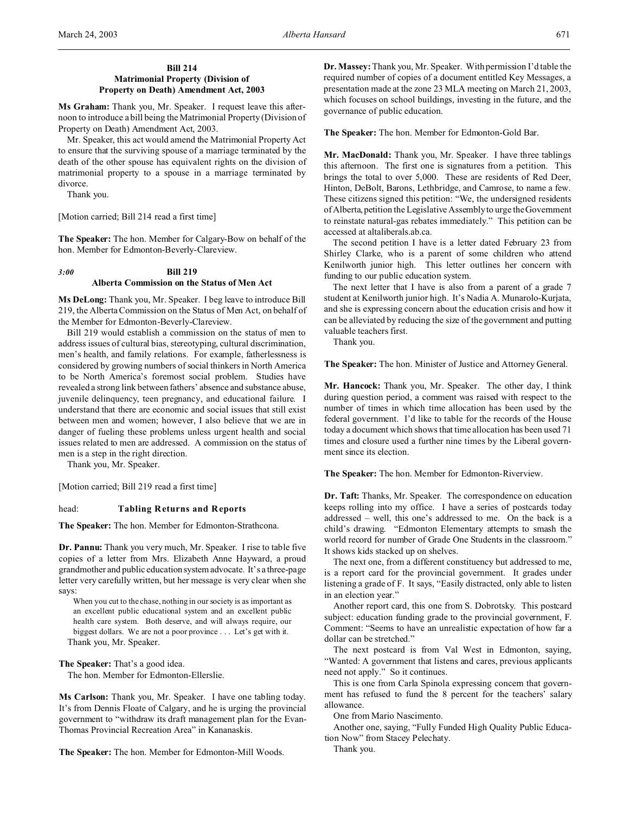# **Bill 214 Matrimonial Property (Division of Property on Death) Amendment Act, 2003**

**Ms Graham:** Thank you, Mr. Speaker. I request leave this afternoon to introduce a bill being the Matrimonial Property (Division of Property on Death) Amendment Act, 2003.

Mr. Speaker, this act would amend the Matrimonial Property Act to ensure that the surviving spouse of a marriage terminated by the death of the other spouse has equivalent rights on the division of matrimonial property to a spouse in a marriage terminated by divorce.

Thank you.

[Motion carried; Bill 214 read a first time]

**The Speaker:** The hon. Member for Calgary-Bow on behalf of the hon. Member for Edmonton-Beverly-Clareview.

# *3:00* **Bill 219 Alberta Commission on the Status of Men Act**

**Ms DeLong:** Thank you, Mr. Speaker. I beg leave to introduce Bill 219, the Alberta Commission on the Status of Men Act, on behalf of the Member for Edmonton-Beverly-Clareview.

Bill 219 would establish a commission on the status of men to address issues of cultural bias, stereotyping, cultural discrimination, men's health, and family relations. For example, fatherlessness is considered by growing numbers of social thinkers in North America to be North America's foremost social problem. Studies have revealed a strong link between fathers' absence and substance abuse, juvenile delinquency, teen pregnancy, and educational failure. I understand that there are economic and social issues that still exist between men and women; however, I also believe that we are in danger of fueling these problems unless urgent health and social issues related to men are addressed. A commission on the status of men is a step in the right direction.

Thank you, Mr. Speaker.

[Motion carried; Bill 219 read a first time]

## head: **Tabling Returns and Reports**

**The Speaker:** The hon. Member for Edmonton-Strathcona.

**Dr. Pannu:** Thank you very much, Mr. Speaker. I rise to table five copies of a letter from Mrs. Elizabeth Anne Hayward, a proud grandmother and public education system advocate. It's a three-page letter very carefully written, but her message is very clear when she says:

When you cut to the chase, nothing in our society is as important as an excellent public educational system and an excellent public health care system. Both deserve, and will always require, our biggest dollars. We are not a poor province . . . Let's get with it. Thank you, Mr. Speaker.

**The Speaker:** That's a good idea.

The hon. Member for Edmonton-Ellerslie.

**Ms Carlson:** Thank you, Mr. Speaker. I have one tabling today. It's from Dennis Floate of Calgary, and he is urging the provincial government to "withdraw its draft management plan for the Evan-Thomas Provincial Recreation Area" in Kananaskis.

**The Speaker:** The hon. Member for Edmonton-Mill Woods.

**Dr. Massey:**Thank you, Mr. Speaker. With permission I'd table the required number of copies of a document entitled Key Messages, a presentation made at the zone 23 MLA meeting on March 21, 2003, which focuses on school buildings, investing in the future, and the governance of public education.

**The Speaker:** The hon. Member for Edmonton-Gold Bar.

**Mr. MacDonald:** Thank you, Mr. Speaker. I have three tablings this afternoon. The first one is signatures from a petition. This brings the total to over 5,000. These are residents of Red Deer, Hinton, DeBolt, Barons, Lethbridge, and Camrose, to name a few. These citizens signed this petition: "We, the undersigned residents of Alberta, petition the Legislative Assembly to urge the Government to reinstate natural-gas rebates immediately." This petition can be accessed at altaliberals.ab.ca.

The second petition I have is a letter dated February 23 from Shirley Clarke, who is a parent of some children who attend Kenilworth junior high. This letter outlines her concern with funding to our public education system.

The next letter that I have is also from a parent of a grade 7 student at Kenilworth junior high. It's Nadia A. Munarolo-Kurjata, and she is expressing concern about the education crisis and how it can be alleviated by reducing the size of the government and putting valuable teachers first.

Thank you.

**The Speaker:** The hon. Minister of Justice and Attorney General.

**Mr. Hancock:** Thank you, Mr. Speaker. The other day, I think during question period, a comment was raised with respect to the number of times in which time allocation has been used by the federal government. I'd like to table for the records of the House today a document which shows that time allocation has been used 71 times and closure used a further nine times by the Liberal government since its election.

**The Speaker:** The hon. Member for Edmonton-Riverview.

**Dr. Taft:** Thanks, Mr. Speaker. The correspondence on education keeps rolling into my office. I have a series of postcards today addressed – well, this one's addressed to me. On the back is a child's drawing. "Edmonton Elementary attempts to smash the world record for number of Grade One Students in the classroom." It shows kids stacked up on shelves.

The next one, from a different constituency but addressed to me, is a report card for the provincial government. It grades under listening a grade of F. It says, "Easily distracted, only able to listen in an election year."

Another report card, this one from S. Dobrotsky. This postcard subject: education funding grade to the provincial government, F. Comment: "Seems to have an unrealistic expectation of how far a dollar can be stretched."

The next postcard is from Val West in Edmonton, saying, "Wanted: A government that listens and cares, previous applicants need not apply." So it continues.

This is one from Carla Spinola expressing concern that government has refused to fund the 8 percent for the teachers' salary allowance.

One from Mario Nascimento.

Another one, saying, "Fully Funded High Quality Public Education Now" from Stacey Pelechaty.

Thank you.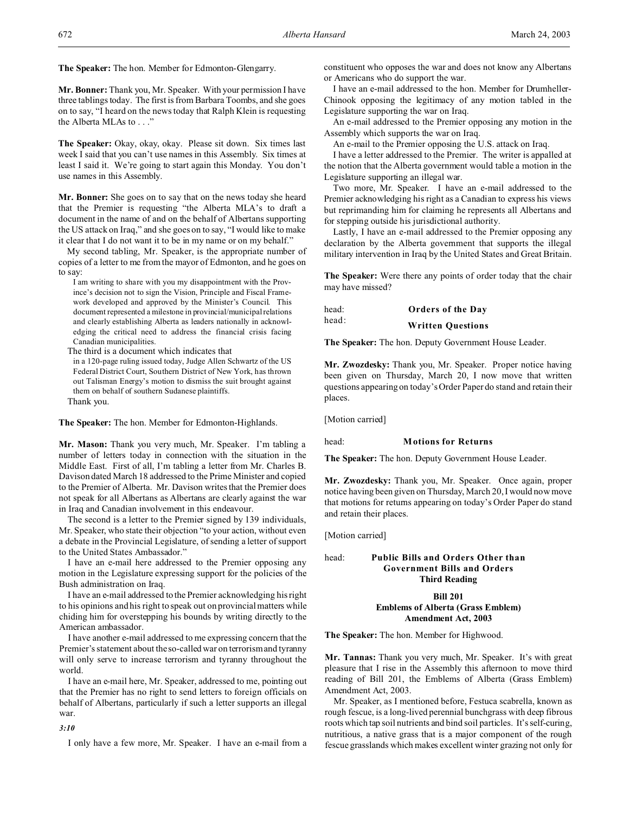**The Speaker:** The hon. Member for Edmonton-Glengarry.

**Mr. Bonner:** Thank you, Mr. Speaker. With your permission I have three tablings today. The first is from Barbara Toombs, and she goes on to say, "I heard on the news today that Ralph Klein is requesting the Alberta MLAs to . . ."

**The Speaker:** Okay, okay, okay. Please sit down. Six times last week I said that you can't use names in this Assembly. Six times at least I said it. We're going to start again this Monday. You don't use names in this Assembly.

**Mr. Bonner:** She goes on to say that on the news today she heard that the Premier is requesting "the Alberta MLA's to draft a document in the name of and on the behalf of Albertans supporting the US attack on Iraq," and she goes on to say, "I would like to make it clear that I do not want it to be in my name or on my behalf."

My second tabling, Mr. Speaker, is the appropriate number of copies of a letter to me from the mayor of Edmonton, and he goes on to say:

I am writing to share with you my disappointment with the Province's decision not to sign the Vision, Principle and Fiscal Framework developed and approved by the Minister's Council. This document represented a milestone in provincial/municipal relations and clearly establishing Alberta as leaders nationally in acknowledging the critical need to address the financial crisis facing Canadian municipalities.

The third is a document which indicates that

in a 120-page ruling issued today, Judge Allen Schwartz of the US Federal District Court, Southern District of New York, has thrown out Talisman Energy's motion to dismiss the suit brought against them on behalf of southern Sudanese plaintiffs.

Thank you.

**The Speaker:** The hon. Member for Edmonton-Highlands.

**Mr. Mason:** Thank you very much, Mr. Speaker. I'm tabling a number of letters today in connection with the situation in the Middle East. First of all, I'm tabling a letter from Mr. Charles B. Davison dated March 18 addressed to the Prime Minister and copied to the Premier of Alberta. Mr. Davison writes that the Premier does not speak for all Albertans as Albertans are clearly against the war in Iraq and Canadian involvement in this endeavour.

The second is a letter to the Premier signed by 139 individuals, Mr. Speaker, who state their objection "to your action, without even a debate in the Provincial Legislature, of sending a letter of support to the United States Ambassador."

I have an e-mail here addressed to the Premier opposing any motion in the Legislature expressing support for the policies of the Bush administration on Iraq.

I have an e-mail addressed to the Premier acknowledging his right to his opinions and his right to speak out on provincial matters while chiding him for overstepping his bounds by writing directly to the American ambassador.

I have another e-mail addressed to me expressing concern that the Premier's statement about the so-called war on terrorism and tyranny will only serve to increase terrorism and tyranny throughout the world.

I have an e-mail here, Mr. Speaker, addressed to me, pointing out that the Premier has no right to send letters to foreign officials on behalf of Albertans, particularly if such a letter supports an illegal war.

*3:10*

I only have a few more, Mr. Speaker. I have an e-mail from a

constituent who opposes the war and does not know any Albertans or Americans who do support the war.

I have an e-mail addressed to the hon. Member for Drumheller-Chinook opposing the legitimacy of any motion tabled in the Legislature supporting the war on Iraq.

An e-mail addressed to the Premier opposing any motion in the Assembly which supports the war on Iraq.

An e-mail to the Premier opposing the U.S. attack on Iraq.

I have a letter addressed to the Premier. The writer is appalled at the notion that the Alberta government would table a motion in the Legislature supporting an illegal war.

Two more, Mr. Speaker. I have an e-mail addressed to the Premier acknowledging his right as a Canadian to express his views but reprimanding him for claiming he represents all Albertans and for stepping outside his jurisdictional authority.

Lastly, I have an e-mail addressed to the Premier opposing any declaration by the Alberta government that supports the illegal military intervention in Iraq by the United States and Great Britain.

**The Speaker:** Were there any points of order today that the chair may have missed?

head: **Orders of the Day** head: **Written Questions**

**The Speaker:** The hon. Deputy Government House Leader.

**Mr. Zwozdesky:** Thank you, Mr. Speaker. Proper notice having been given on Thursday, March 20, I now move that written questions appearing on today's Order Paper do stand and retain their places.

[Motion carried]

#### head: **Motions for Returns**

**The Speaker:** The hon. Deputy Government House Leader.

**Mr. Zwozdesky:** Thank you, Mr. Speaker. Once again, proper notice having been given on Thursday, March 20, I would now move that motions for returns appearing on today's Order Paper do stand and retain their places.

[Motion carried]

# head: **Public Bills and Orders Other than Government Bills and Orders Third Reading**

# **Bill 201 Emblems of Alberta (Grass Emblem) Amendment Act, 2003**

**The Speaker:** The hon. Member for Highwood.

**Mr. Tannas:** Thank you very much, Mr. Speaker. It's with great pleasure that I rise in the Assembly this afternoon to move third reading of Bill 201, the Emblems of Alberta (Grass Emblem) Amendment Act, 2003.

Mr. Speaker, as I mentioned before, Festuca scabrella, known as rough fescue, is a long-lived perennial bunchgrass with deep fibrous roots which tap soil nutrients and bind soil particles. It's self-curing, nutritious, a native grass that is a major component of the rough fescue grasslands which makes excellent winter grazing not only for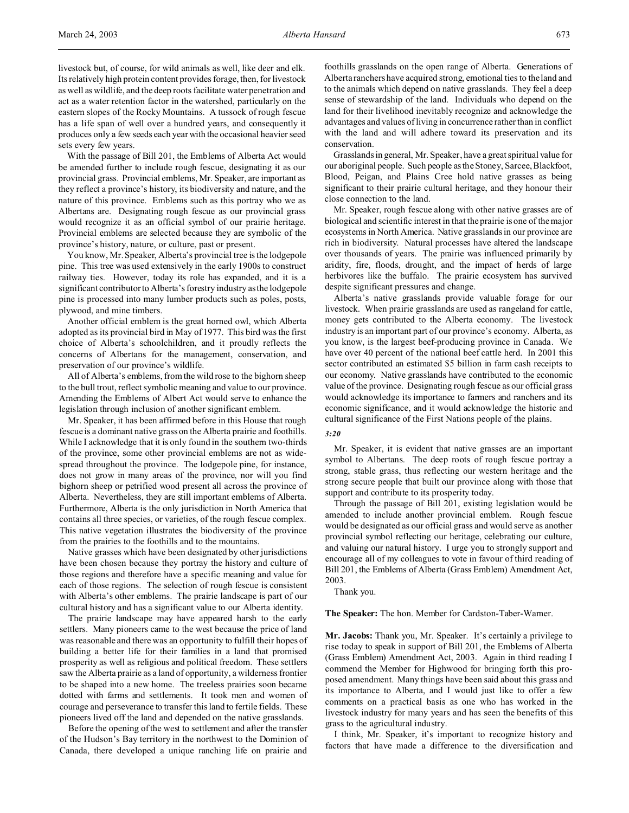livestock but, of course, for wild animals as well, like deer and elk. Its relatively high protein content provides forage, then, for livestock as well as wildlife, and the deep roots facilitate water penetration and act as a water retention factor in the watershed, particularly on the eastern slopes of the Rocky Mountains. A tussock of rough fescue has a life span of well over a hundred years, and consequently it produces only a few seeds each year with the occasional heavier seed sets every few years.

With the passage of Bill 201, the Emblems of Alberta Act would be amended further to include rough fescue, designating it as our provincial grass. Provincial emblems, Mr. Speaker, are important as they reflect a province's history, its biodiversity and nature, and the nature of this province. Emblems such as this portray who we as Albertans are. Designating rough fescue as our provincial grass would recognize it as an official symbol of our prairie heritage. Provincial emblems are selected because they are symbolic of the province's history, nature, or culture, past or present.

You know, Mr. Speaker, Alberta's provincial tree is the lodgepole pine. This tree was used extensively in the early 1900s to construct railway ties. However, today its role has expanded, and it is a significant contributor to Alberta's forestry industry as the lodgepole pine is processed into many lumber products such as poles, posts, plywood, and mine timbers.

Another official emblem is the great horned owl, which Alberta adopted as its provincial bird in May of 1977. This bird was the first choice of Alberta's schoolchildren, and it proudly reflects the concerns of Albertans for the management, conservation, and preservation of our province's wildlife.

All of Alberta's emblems, from the wild rose to the bighorn sheep to the bull trout, reflect symbolic meaning and value to our province. Amending the Emblems of Albert Act would serve to enhance the legislation through inclusion of another significant emblem.

Mr. Speaker, it has been affirmed before in this House that rough fescue is a dominant native grass on the Alberta prairie and foothills. While I acknowledge that it is only found in the southern two-thirds of the province, some other provincial emblems are not as widespread throughout the province. The lodgepole pine, for instance, does not grow in many areas of the province, nor will you find bighorn sheep or petrified wood present all across the province of Alberta. Nevertheless, they are still important emblems of Alberta. Furthermore, Alberta is the only jurisdiction in North America that contains all three species, or varieties, of the rough fescue complex. This native vegetation illustrates the biodiversity of the province from the prairies to the foothills and to the mountains.

Native grasses which have been designated by other jurisdictions have been chosen because they portray the history and culture of those regions and therefore have a specific meaning and value for each of those regions. The selection of rough fescue is consistent with Alberta's other emblems. The prairie landscape is part of our cultural history and has a significant value to our Alberta identity.

The prairie landscape may have appeared harsh to the early settlers. Many pioneers came to the west because the price of land was reasonable and there was an opportunity to fulfill their hopes of building a better life for their families in a land that promised prosperity as well as religious and political freedom. These settlers saw the Alberta prairie as a land of opportunity, a wilderness frontier to be shaped into a new home. The treeless prairies soon became dotted with farms and settlements. It took men and women of courage and perseverance to transfer this land to fertile fields. These pioneers lived off the land and depended on the native grasslands.

Before the opening of the west to settlement and after the transfer of the Hudson's Bay territory in the northwest to the Dominion of Canada, there developed a unique ranching life on prairie and foothills grasslands on the open range of Alberta. Generations of Alberta ranchers have acquired strong, emotional ties to the land and to the animals which depend on native grasslands. They feel a deep sense of stewardship of the land. Individuals who depend on the land for their livelihood inevitably recognize and acknowledge the advantages and values of living in concurrence rather than in conflict with the land and will adhere toward its preservation and its conservation.

Grasslands in general, Mr. Speaker, have a great spiritual value for our aboriginal people. Such people as the Stoney, Sarcee, Blackfoot, Blood, Peigan, and Plains Cree hold native grasses as being significant to their prairie cultural heritage, and they honour their close connection to the land.

Mr. Speaker, rough fescue along with other native grasses are of biological and scientific interest in that the prairie is one of the major ecosystems in North America. Native grasslands in our province are rich in biodiversity. Natural processes have altered the landscape over thousands of years. The prairie was influenced primarily by aridity, fire, floods, drought, and the impact of herds of large herbivores like the buffalo. The prairie ecosystem has survived despite significant pressures and change.

Alberta's native grasslands provide valuable forage for our livestock. When prairie grasslands are used as rangeland for cattle, money gets contributed to the Alberta economy. The livestock industry is an important part of our province's economy. Alberta, as you know, is the largest beef-producing province in Canada. We have over 40 percent of the national beef cattle herd. In 2001 this sector contributed an estimated \$5 billion in farm cash receipts to our economy. Native grasslands have contributed to the economic value of the province. Designating rough fescue as our official grass would acknowledge its importance to farmers and ranchers and its economic significance, and it would acknowledge the historic and cultural significance of the First Nations people of the plains.

#### *3:20*

Mr. Speaker, it is evident that native grasses are an important symbol to Albertans. The deep roots of rough fescue portray a strong, stable grass, thus reflecting our western heritage and the strong secure people that built our province along with those that support and contribute to its prosperity today.

Through the passage of Bill 201, existing legislation would be amended to include another provincial emblem. Rough fescue would be designated as our official grass and would serve as another provincial symbol reflecting our heritage, celebrating our culture, and valuing our natural history. I urge you to strongly support and encourage all of my colleagues to vote in favour of third reading of Bill 201, the Emblems of Alberta (Grass Emblem) Amendment Act, 2003.

Thank you.

**The Speaker:** The hon. Member for Cardston-Taber-Warner.

**Mr. Jacobs:** Thank you, Mr. Speaker. It's certainly a privilege to rise today to speak in support of Bill 201, the Emblems of Alberta (Grass Emblem) Amendment Act, 2003. Again in third reading I commend the Member for Highwood for bringing forth this proposed amendment. Many things have been said about this grass and its importance to Alberta, and I would just like to offer a few comments on a practical basis as one who has worked in the livestock industry for many years and has seen the benefits of this grass to the agricultural industry.

I think, Mr. Speaker, it's important to recognize history and factors that have made a difference to the diversification and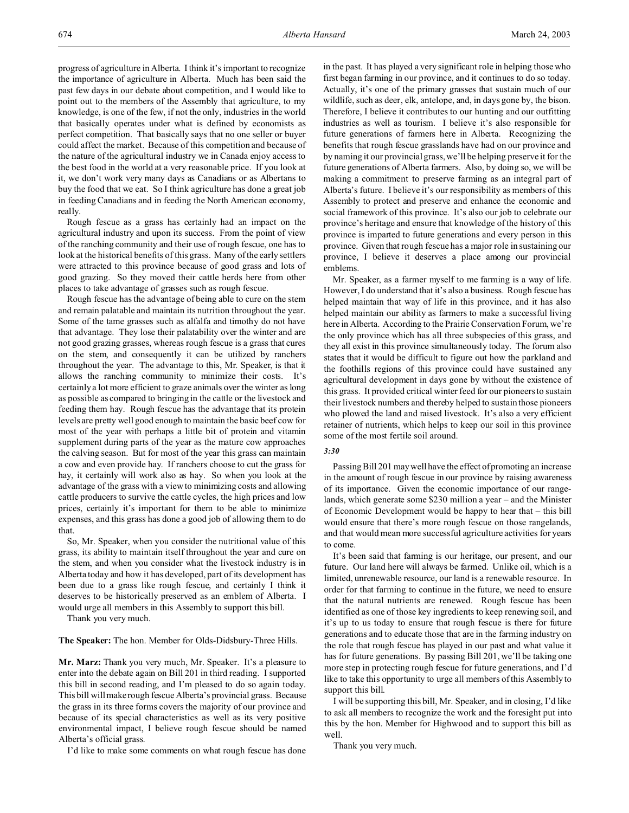progress of agriculture in Alberta. I think it's important to recognize the importance of agriculture in Alberta. Much has been said the past few days in our debate about competition, and I would like to point out to the members of the Assembly that agriculture, to my knowledge, is one of the few, if not the only, industries in the world that basically operates under what is defined by economists as perfect competition. That basically says that no one seller or buyer could affect the market. Because of this competition and because of the nature of the agricultural industry we in Canada enjoy access to the best food in the world at a very reasonable price. If you look at it, we don't work very many days as Canadians or as Albertans to buy the food that we eat. So I think agriculture has done a great job in feeding Canadians and in feeding the North American economy, really.

Rough fescue as a grass has certainly had an impact on the agricultural industry and upon its success. From the point of view of the ranching community and their use of rough fescue, one has to look at the historical benefits of this grass. Many of the early settlers were attracted to this province because of good grass and lots of good grazing. So they moved their cattle herds here from other places to take advantage of grasses such as rough fescue.

Rough fescue has the advantage of being able to cure on the stem and remain palatable and maintain its nutrition throughout the year. Some of the tame grasses such as alfalfa and timothy do not have that advantage. They lose their palatability over the winter and are not good grazing grasses, whereas rough fescue is a grass that cures on the stem, and consequently it can be utilized by ranchers throughout the year. The advantage to this, Mr. Speaker, is that it allows the ranching community to minimize their costs. It's certainly a lot more efficient to graze animals over the winter as long as possible as compared to bringing in the cattle or the livestock and feeding them hay. Rough fescue has the advantage that its protein levels are pretty well good enough to maintain the basic beef cow for most of the year with perhaps a little bit of protein and vitamin supplement during parts of the year as the mature cow approaches the calving season. But for most of the year this grass can maintain a cow and even provide hay. If ranchers choose to cut the grass for hay, it certainly will work also as hay. So when you look at the advantage of the grass with a view to minimizing costs and allowing cattle producers to survive the cattle cycles, the high prices and low prices, certainly it's important for them to be able to minimize expenses, and this grass has done a good job of allowing them to do that.

So, Mr. Speaker, when you consider the nutritional value of this grass, its ability to maintain itself throughout the year and cure on the stem, and when you consider what the livestock industry is in Alberta today and how it has developed, part of its development has been due to a grass like rough fescue, and certainly I think it deserves to be historically preserved as an emblem of Alberta. I would urge all members in this Assembly to support this bill.

Thank you very much.

**The Speaker:** The hon. Member for Olds-Didsbury-Three Hills.

**Mr. Marz:** Thank you very much, Mr. Speaker. It's a pleasure to enter into the debate again on Bill 201 in third reading. I supported this bill in second reading, and I'm pleased to do so again today. This bill will make rough fescue Alberta's provincial grass. Because the grass in its three forms covers the majority of our province and because of its special characteristics as well as its very positive environmental impact, I believe rough fescue should be named Alberta's official grass.

I'd like to make some comments on what rough fescue has done

in the past. It has played a very significant role in helping those who first began farming in our province, and it continues to do so today. Actually, it's one of the primary grasses that sustain much of our wildlife, such as deer, elk, antelope, and, in days gone by, the bison. Therefore, I believe it contributes to our hunting and our outfitting industries as well as tourism. I believe it's also responsible for future generations of farmers here in Alberta. Recognizing the benefits that rough fescue grasslands have had on our province and by naming it our provincial grass, we'll be helping preserve it for the future generations of Alberta farmers. Also, by doing so, we will be making a commitment to preserve farming as an integral part of Alberta's future. I believe it's our responsibility as members of this Assembly to protect and preserve and enhance the economic and social framework of this province. It's also our job to celebrate our province's heritage and ensure that knowledge of the history of this province is imparted to future generations and every person in this province. Given that rough fescue has a major role in sustaining our province, I believe it deserves a place among our provincial emblems.

Mr. Speaker, as a farmer myself to me farming is a way of life. However, I do understand that it's also a business. Rough fescue has helped maintain that way of life in this province, and it has also helped maintain our ability as farmers to make a successful living here in Alberta. According to the Prairie Conservation Forum, we're the only province which has all three subspecies of this grass, and they all exist in this province simultaneously today. The forum also states that it would be difficult to figure out how the parkland and the foothills regions of this province could have sustained any agricultural development in days gone by without the existence of this grass. It provided critical winter feed for our pioneers to sustain their livestock numbers and thereby helped to sustain those pioneers who plowed the land and raised livestock. It's also a very efficient retainer of nutrients, which helps to keep our soil in this province some of the most fertile soil around.

## *3:30*

Passing Bill 201 may well have the effect of promoting an increase in the amount of rough fescue in our province by raising awareness of its importance. Given the economic importance of our rangelands, which generate some \$230 million a year – and the Minister of Economic Development would be happy to hear that – this bill would ensure that there's more rough fescue on those rangelands, and that would mean more successful agriculture activities for years to come.

It's been said that farming is our heritage, our present, and our future. Our land here will always be farmed. Unlike oil, which is a limited, unrenewable resource, our land is a renewable resource. In order for that farming to continue in the future, we need to ensure that the natural nutrients are renewed. Rough fescue has been identified as one of those key ingredients to keep renewing soil, and it's up to us today to ensure that rough fescue is there for future generations and to educate those that are in the farming industry on the role that rough fescue has played in our past and what value it has for future generations. By passing Bill 201, we'll be taking one more step in protecting rough fescue for future generations, and I'd like to take this opportunity to urge all members of this Assembly to support this bill.

I will be supporting this bill, Mr. Speaker, and in closing, I'd like to ask all members to recognize the work and the foresight put into this by the hon. Member for Highwood and to support this bill as well.

Thank you very much.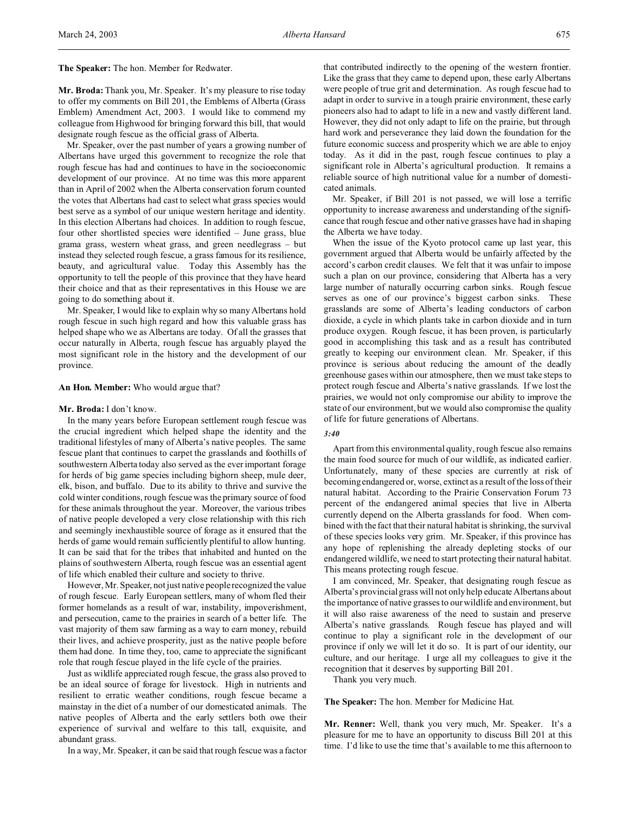**The Speaker:** The hon. Member for Redwater.

**Mr. Broda:** Thank you, Mr. Speaker. It's my pleasure to rise today to offer my comments on Bill 201, the Emblems of Alberta (Grass Emblem) Amendment Act, 2003. I would like to commend my colleague from Highwood for bringing forward this bill, that would designate rough fescue as the official grass of Alberta.

Mr. Speaker, over the past number of years a growing number of Albertans have urged this government to recognize the role that rough fescue has had and continues to have in the socioeconomic development of our province. At no time was this more apparent than in April of 2002 when the Alberta conservation forum counted the votes that Albertans had cast to select what grass species would best serve as a symbol of our unique western heritage and identity. In this election Albertans had choices. In addition to rough fescue, four other shortlisted species were identified – June grass, blue grama grass, western wheat grass, and green needlegrass – but instead they selected rough fescue, a grass famous for its resilience, beauty, and agricultural value. Today this Assembly has the opportunity to tell the people of this province that they have heard their choice and that as their representatives in this House we are going to do something about it.

Mr. Speaker, I would like to explain why so many Albertans hold rough fescue in such high regard and how this valuable grass has helped shape who we as Albertans are today. Of all the grasses that occur naturally in Alberta, rough fescue has arguably played the most significant role in the history and the development of our province.

### **An Hon. Member:** Who would argue that?

#### **Mr. Broda:** I don't know.

In the many years before European settlement rough fescue was the crucial ingredient which helped shape the identity and the traditional lifestyles of many of Alberta's native peoples. The same fescue plant that continues to carpet the grasslands and foothills of southwestern Alberta today also served as the ever important forage for herds of big game species including bighorn sheep, mule deer, elk, bison, and buffalo. Due to its ability to thrive and survive the cold winter conditions, rough fescue was the primary source of food for these animals throughout the year. Moreover, the various tribes of native people developed a very close relationship with this rich and seemingly inexhaustible source of forage as it ensured that the herds of game would remain sufficiently plentiful to allow hunting. It can be said that for the tribes that inhabited and hunted on the plains of southwestern Alberta, rough fescue was an essential agent of life which enabled their culture and society to thrive.

However, Mr. Speaker, not just native people recognized the value of rough fescue. Early European settlers, many of whom fled their former homelands as a result of war, instability, impoverishment, and persecution, came to the prairies in search of a better life. The vast majority of them saw farming as a way to earn money, rebuild their lives, and achieve prosperity, just as the native people before them had done. In time they, too, came to appreciate the significant role that rough fescue played in the life cycle of the prairies.

Just as wildlife appreciated rough fescue, the grass also proved to be an ideal source of forage for livestock. High in nutrients and resilient to erratic weather conditions, rough fescue became a mainstay in the diet of a number of our domesticated animals. The native peoples of Alberta and the early settlers both owe their experience of survival and welfare to this tall, exquisite, and abundant grass.

In a way, Mr. Speaker, it can be said that rough fescue was a factor

that contributed indirectly to the opening of the western frontier. Like the grass that they came to depend upon, these early Albertans were people of true grit and determination. As rough fescue had to adapt in order to survive in a tough prairie environment, these early pioneers also had to adapt to life in a new and vastly different land. However, they did not only adapt to life on the prairie, but through hard work and perseverance they laid down the foundation for the future economic success and prosperity which we are able to enjoy today. As it did in the past, rough fescue continues to play a significant role in Alberta's agricultural production. It remains a reliable source of high nutritional value for a number of domesticated animals.

Mr. Speaker, if Bill 201 is not passed, we will lose a terrific opportunity to increase awareness and understanding of the significance that rough fescue and other native grasses have had in shaping the Alberta we have today.

When the issue of the Kyoto protocol came up last year, this government argued that Alberta would be unfairly affected by the accord's carbon credit clauses. We felt that it was unfair to impose such a plan on our province, considering that Alberta has a very large number of naturally occurring carbon sinks. Rough fescue serves as one of our province's biggest carbon sinks. These grasslands are some of Alberta's leading conductors of carbon dioxide, a cycle in which plants take in carbon dioxide and in turn produce oxygen. Rough fescue, it has been proven, is particularly good in accomplishing this task and as a result has contributed greatly to keeping our environment clean. Mr. Speaker, if this province is serious about reducing the amount of the deadly greenhouse gases within our atmosphere, then we must take steps to protect rough fescue and Alberta's native grasslands. If we lost the prairies, we would not only compromise our ability to improve the state of our environment, but we would also compromise the quality of life for future generations of Albertans.

#### *3:40*

Apart from this environmental quality, rough fescue also remains the main food source for much of our wildlife, as indicated earlier. Unfortunately, many of these species are currently at risk of becoming endangered or, worse, extinct as a result of the loss of their natural habitat. According to the Prairie Conservation Forum 73 percent of the endangered animal species that live in Alberta currently depend on the Alberta grasslands for food. When combined with the fact that their natural habitat is shrinking, the survival of these species looks very grim. Mr. Speaker, if this province has any hope of replenishing the already depleting stocks of our endangered wildlife, we need to start protecting their natural habitat. This means protecting rough fescue.

I am convinced, Mr. Speaker, that designating rough fescue as Alberta's provincial grass will not only help educate Albertans about the importance of native grasses to our wildlife and environment, but it will also raise awareness of the need to sustain and preserve Alberta's native grasslands. Rough fescue has played and will continue to play a significant role in the development of our province if only we will let it do so. It is part of our identity, our culture, and our heritage. I urge all my colleagues to give it the recognition that it deserves by supporting Bill 201.

Thank you very much.

#### **The Speaker:** The hon. Member for Medicine Hat.

**Mr. Renner:** Well, thank you very much, Mr. Speaker. It's a pleasure for me to have an opportunity to discuss Bill 201 at this time. I'd like to use the time that's available to me this afternoon to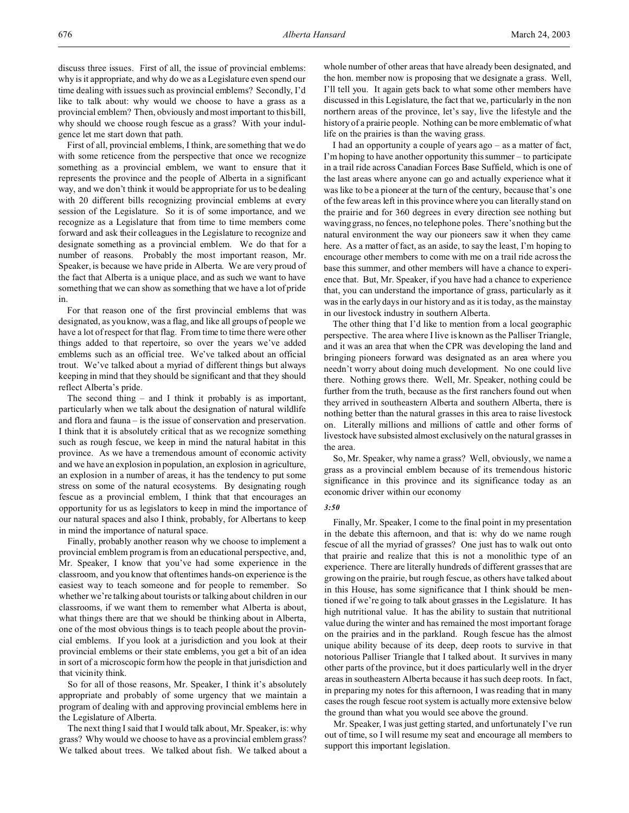First of all, provincial emblems, I think, are something that we do with some reticence from the perspective that once we recognize something as a provincial emblem, we want to ensure that it represents the province and the people of Alberta in a significant way, and we don't think it would be appropriate for us to be dealing with 20 different bills recognizing provincial emblems at every session of the Legislature. So it is of some importance, and we recognize as a Legislature that from time to time members come forward and ask their colleagues in the Legislature to recognize and designate something as a provincial emblem. We do that for a number of reasons. Probably the most important reason, Mr. Speaker, is because we have pride in Alberta. We are very proud of the fact that Alberta is a unique place, and as such we want to have something that we can show as something that we have a lot of pride in.

For that reason one of the first provincial emblems that was designated, as you know, was a flag, and like all groups of people we have a lot of respect for that flag. From time to time there were other things added to that repertoire, so over the years we've added emblems such as an official tree. We've talked about an official trout. We've talked about a myriad of different things but always keeping in mind that they should be significant and that they should reflect Alberta's pride.

The second thing – and I think it probably is as important, particularly when we talk about the designation of natural wildlife and flora and fauna – is the issue of conservation and preservation. I think that it is absolutely critical that as we recognize something such as rough fescue, we keep in mind the natural habitat in this province. As we have a tremendous amount of economic activity and we have an explosion in population, an explosion in agriculture, an explosion in a number of areas, it has the tendency to put some stress on some of the natural ecosystems. By designating rough fescue as a provincial emblem, I think that that encourages an opportunity for us as legislators to keep in mind the importance of our natural spaces and also I think, probably, for Albertans to keep in mind the importance of natural space.

Finally, probably another reason why we choose to implement a provincial emblem program is from an educational perspective, and, Mr. Speaker, I know that you've had some experience in the classroom, and you know that oftentimes hands-on experience is the easiest way to teach someone and for people to remember. So whether we're talking about tourists or talking about children in our classrooms, if we want them to remember what Alberta is about, what things there are that we should be thinking about in Alberta, one of the most obvious things is to teach people about the provincial emblems. If you look at a jurisdiction and you look at their provincial emblems or their state emblems, you get a bit of an idea in sort of a microscopic form how the people in that jurisdiction and that vicinity think.

So for all of those reasons, Mr. Speaker, I think it's absolutely appropriate and probably of some urgency that we maintain a program of dealing with and approving provincial emblems here in the Legislature of Alberta.

The next thing I said that I would talk about, Mr. Speaker, is: why grass? Why would we choose to have as a provincial emblem grass? We talked about trees. We talked about fish. We talked about a

whole number of other areas that have already been designated, and the hon. member now is proposing that we designate a grass. Well, I'll tell you. It again gets back to what some other members have discussed in this Legislature, the fact that we, particularly in the non northern areas of the province, let's say, live the lifestyle and the history of a prairie people. Nothing can be more emblematic of what life on the prairies is than the waving grass.

I had an opportunity a couple of years ago – as a matter of fact, I'm hoping to have another opportunity this summer – to participate in a trail ride across Canadian Forces Base Suffield, which is one of the last areas where anyone can go and actually experience what it was like to be a pioneer at the turn of the century, because that's one of the few areas left in this province where you can literally stand on the prairie and for 360 degrees in every direction see nothing but waving grass, no fences, no telephone poles. There's nothing but the natural environment the way our pioneers saw it when they came here. As a matter of fact, as an aside, to say the least, I'm hoping to encourage other members to come with me on a trail ride across the base this summer, and other members will have a chance to experience that. But, Mr. Speaker, if you have had a chance to experience that, you can understand the importance of grass, particularly as it was in the early days in our history and as it is today, as the mainstay in our livestock industry in southern Alberta.

The other thing that I'd like to mention from a local geographic perspective. The area where I live is known as the Palliser Triangle, and it was an area that when the CPR was developing the land and bringing pioneers forward was designated as an area where you needn't worry about doing much development. No one could live there. Nothing grows there. Well, Mr. Speaker, nothing could be further from the truth, because as the first ranchers found out when they arrived in southeastern Alberta and southern Alberta, there is nothing better than the natural grasses in this area to raise livestock on. Literally millions and millions of cattle and other forms of livestock have subsisted almost exclusively on the natural grasses in the area.

So, Mr. Speaker, why name a grass? Well, obviously, we name a grass as a provincial emblem because of its tremendous historic significance in this province and its significance today as an economic driver within our economy

#### *3:50*

Finally, Mr. Speaker, I come to the final point in my presentation in the debate this afternoon, and that is: why do we name rough fescue of all the myriad of grasses? One just has to walk out onto that prairie and realize that this is not a monolithic type of an experience. There are literally hundreds of different grasses that are growing on the prairie, but rough fescue, as others have talked about in this House, has some significance that I think should be mentioned if we're going to talk about grasses in the Legislature. It has high nutritional value. It has the ability to sustain that nutritional value during the winter and has remained the most important forage on the prairies and in the parkland. Rough fescue has the almost unique ability because of its deep, deep roots to survive in that notorious Palliser Triangle that I talked about. It survives in many other parts of the province, but it does particularly well in the dryer areas in southeastern Alberta because it has such deep roots. In fact, in preparing my notes for this afternoon, I was reading that in many cases the rough fescue root system is actually more extensive below the ground than what you would see above the ground.

Mr. Speaker, I was just getting started, and unfortunately I've run out of time, so I will resume my seat and encourage all members to support this important legislation.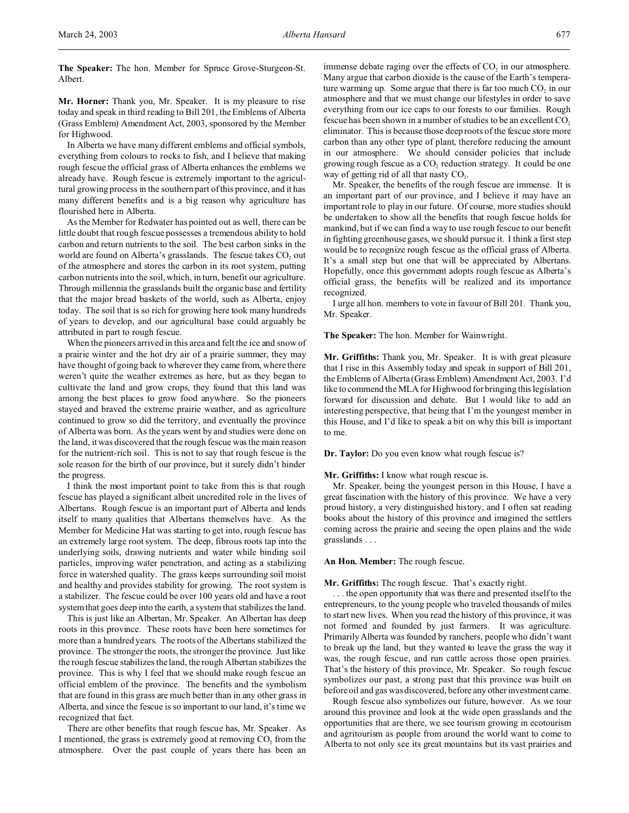**The Speaker:** The hon. Member for Spruce Grove-Sturgeon-St. Albert.

**Mr. Horner:** Thank you, Mr. Speaker. It is my pleasure to rise today and speak in third reading to Bill 201, the Emblems of Alberta (Grass Emblem) Amendment Act, 2003, sponsored by the Member for Highwood.

In Alberta we have many different emblems and official symbols, everything from colours to rocks to fish, and I believe that making rough fescue the official grass of Alberta enhances the emblems we already have. Rough fescue is extremely important to the agricultural growing process in the southern part of this province, and it has many different benefits and is a big reason why agriculture has flourished here in Alberta.

As the Member for Redwater has pointed out as well, there can be little doubt that rough fescue possesses a tremendous ability to hold carbon and return nutrients to the soil. The best carbon sinks in the world are found on Alberta's grasslands. The fescue takes  $CO<sub>2</sub>$  out of the atmosphere and stores the carbon in its root system, putting carbon nutrients into the soil, which, in turn, benefit our agriculture. Through millennia the grasslands built the organic base and fertility that the major bread baskets of the world, such as Alberta, enjoy today. The soil that is so rich for growing here took many hundreds of years to develop, and our agricultural base could arguably be attributed in part to rough fescue.

When the pioneers arrived in this area and felt the ice and snow of a prairie winter and the hot dry air of a prairie summer, they may have thought of going back to wherever they came from, where there weren't quite the weather extremes as here, but as they began to cultivate the land and grow crops, they found that this land was among the best places to grow food anywhere. So the pioneers stayed and braved the extreme prairie weather, and as agriculture continued to grow so did the territory, and eventually the province of Alberta was born. As the years went by and studies were done on the land, it was discovered that the rough fescue was the main reason for the nutrient-rich soil. This is not to say that rough fescue is the sole reason for the birth of our province, but it surely didn't hinder the progress.

I think the most important point to take from this is that rough fescue has played a significant albeit uncredited role in the lives of Albertans. Rough fescue is an important part of Alberta and lends itself to many qualities that Albertans themselves have. As the Member for Medicine Hat was starting to get into, rough fescue has an extremely large root system. The deep, fibrous roots tap into the underlying soils, drawing nutrients and water while binding soil particles, improving water penetration, and acting as a stabilizing force in watershed quality. The grass keeps surrounding soil moist and healthy and provides stability for growing. The root system is a stabilizer. The fescue could be over 100 years old and have a root system that goes deep into the earth, a system that stabilizes the land.

This is just like an Albertan, Mr. Speaker. An Albertan has deep roots in this province. These roots have been here sometimes for more than a hundred years. The roots of the Albertans stabilized the province. The stronger the roots, the stronger the province. Just like the rough fescue stabilizes the land, the rough Albertan stabilizes the province. This is why I feel that we should make rough fescue an official emblem of the province. The benefits and the symbolism that are found in this grass are much better than in any other grass in Alberta, and since the fescue is so important to our land, it's time we recognized that fact.

There are other benefits that rough fescue has, Mr. Speaker. As I mentioned, the grass is extremely good at removing  $CO<sub>2</sub>$  from the atmosphere. Over the past couple of years there has been an

immense debate raging over the effects of  $CO<sub>2</sub>$  in our atmosphere. Many argue that carbon dioxide is the cause of the Earth's temperature warming up. Some argue that there is far too much  $CO<sub>2</sub>$  in our atmosphere and that we must change our lifestyles in order to save everything from our ice caps to our forests to our families. Rough fescue has been shown in a number of studies to be an excellent  $CO<sub>2</sub>$ eliminator. This is because those deep roots of the fescue store more carbon than any other type of plant, therefore reducing the amount in our atmosphere. We should consider policies that include growing rough fescue as a  $CO_2$  reduction strategy. It could be one way of getting rid of all that nasty  $CO<sub>2</sub>$ .

Mr. Speaker, the benefits of the rough fescue are immense. It is an important part of our province, and I believe it may have an important role to play in our future. Of course, more studies should be undertaken to show all the benefits that rough fescue holds for mankind, but if we can find a way to use rough fescue to our benefit in fighting greenhouse gases, we should pursue it. I think a first step would be to recognize rough fescue as the official grass of Alberta. It's a small step but one that will be appreciated by Albertans. Hopefully, once this government adopts rough fescue as Alberta's official grass, the benefits will be realized and its importance recognized.

I urge all hon. members to vote in favour of Bill 201. Thank you, Mr. Speaker.

### **The Speaker:** The hon. Member for Wainwright.

**Mr. Griffiths:** Thank you, Mr. Speaker. It is with great pleasure that I rise in this Assembly today and speak in support of Bill 201, the Emblems of Alberta (Grass Emblem) Amendment Act, 2003. I'd like to commend the MLA for Highwood for bringing this legislation forward for discussion and debate. But I would like to add an interesting perspective, that being that I'm the youngest member in this House, and I'd like to speak a bit on why this bill is important to me.

**Dr. Taylor:** Do you even know what rough fescue is?

**Mr. Griffiths:** I know what rough rescue is.

Mr. Speaker, being the youngest person in this House, I have a great fascination with the history of this province. We have a very proud history, a very distinguished history, and I often sat reading books about the history of this province and imagined the settlers coming across the prairie and seeing the open plains and the wide grasslands . . .

### **An Hon. Member:** The rough fescue.

## **Mr. Griffiths:** The rough fescue. That's exactly right.

. . . the open opportunity that was there and presented itself to the entrepreneurs, to the young people who traveled thousands of miles to start new lives. When you read the history of this province, it was not formed and founded by just farmers. It was agriculture. Primarily Alberta was founded by ranchers, people who didn't want to break up the land, but they wanted to leave the grass the way it was, the rough fescue, and run cattle across those open prairies. That's the history of this province, Mr. Speaker. So rough fescue symbolizes our past, a strong past that this province was built on before oil and gas was discovered, before any other investment came.

Rough fescue also symbolizes our future, however. As we tour around this province and look at the wide open grasslands and the opportunities that are there, we see tourism growing in ecotourism and agritourism as people from around the world want to come to Alberta to not only see its great mountains but its vast prairies and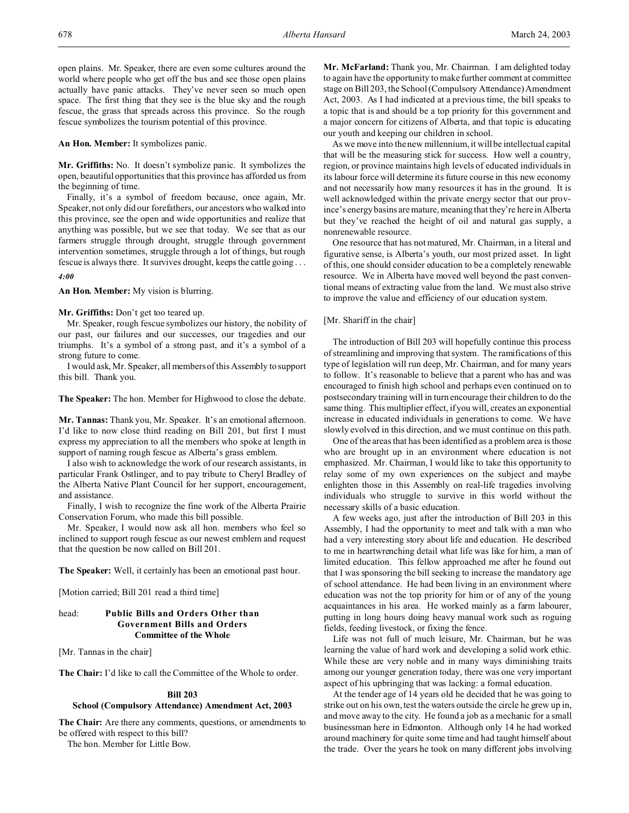open plains. Mr. Speaker, there are even some cultures around the world where people who get off the bus and see those open plains actually have panic attacks. They've never seen so much open space. The first thing that they see is the blue sky and the rough fescue, the grass that spreads across this province. So the rough fescue symbolizes the tourism potential of this province.

**An Hon. Member:** It symbolizes panic.

**Mr. Griffiths:** No. It doesn't symbolize panic. It symbolizes the open, beautiful opportunities that this province has afforded us from the beginning of time.

Finally, it's a symbol of freedom because, once again, Mr. Speaker, not only did our forefathers, our ancestors who walked into this province, see the open and wide opportunities and realize that anything was possible, but we see that today. We see that as our farmers struggle through drought, struggle through government intervention sometimes, struggle through a lot of things, but rough fescue is always there. It survives drought, keeps the cattle going . . .

*4:00*

**An Hon. Member:** My vision is blurring.

**Mr. Griffiths:** Don't get too teared up.

Mr. Speaker, rough fescue symbolizes our history, the nobility of our past, our failures and our successes, our tragedies and our triumphs. It's a symbol of a strong past, and it's a symbol of a strong future to come.

I would ask, Mr. Speaker, all members of this Assembly to support this bill. Thank you.

**The Speaker:** The hon. Member for Highwood to close the debate.

**Mr. Tannas:** Thank you, Mr. Speaker. It's an emotional afternoon. I'd like to now close third reading on Bill 201, but first I must express my appreciation to all the members who spoke at length in support of naming rough fescue as Alberta's grass emblem.

I also wish to acknowledge the work of our research assistants, in particular Frank Ostlinger, and to pay tribute to Cheryl Bradley of the Alberta Native Plant Council for her support, encouragement, and assistance.

Finally, I wish to recognize the fine work of the Alberta Prairie Conservation Forum, who made this bill possible.

Mr. Speaker, I would now ask all hon. members who feel so inclined to support rough fescue as our newest emblem and request that the question be now called on Bill 201.

**The Speaker:** Well, it certainly has been an emotional past hour.

[Motion carried; Bill 201 read a third time]

# head: **Public Bills and Orders Other than Government Bills and Orders Committee of the Whole**

[Mr. Tannas in the chair]

**The Chair:** I'd like to call the Committee of the Whole to order.

## **Bill 203**

# **School (Compulsory Attendance) Amendment Act, 2003**

**The Chair:** Are there any comments, questions, or amendments to be offered with respect to this bill?

The hon. Member for Little Bow.

**Mr. McFarland:** Thank you, Mr. Chairman. I am delighted today to again have the opportunity to make further comment at committee stage on Bill 203, the School (Compulsory Attendance) Amendment Act, 2003. As I had indicated at a previous time, the bill speaks to a topic that is and should be a top priority for this government and a major concern for citizens of Alberta, and that topic is educating our youth and keeping our children in school.

As we move into the new millennium, it will be intellectual capital that will be the measuring stick for success. How well a country, region, or province maintains high levels of educated individuals in its labour force will determine its future course in this new economy and not necessarily how many resources it has in the ground. It is well acknowledged within the private energy sector that our province's energy basins are mature, meaning that they're here in Alberta but they've reached the height of oil and natural gas supply, a nonrenewable resource.

One resource that has not matured, Mr. Chairman, in a literal and figurative sense, is Alberta's youth, our most prized asset. In light of this, one should consider education to be a completely renewable resource. We in Alberta have moved well beyond the past conventional means of extracting value from the land. We must also strive to improve the value and efficiency of our education system.

# [Mr. Shariff in the chair]

The introduction of Bill 203 will hopefully continue this process of streamlining and improving that system. The ramifications of this type of legislation will run deep, Mr. Chairman, and for many years to follow. It's reasonable to believe that a parent who has and was encouraged to finish high school and perhaps even continued on to postsecondary training will in turn encourage their children to do the same thing. This multiplier effect, if you will, creates an exponential increase in educated individuals in generations to come. We have slowly evolved in this direction, and we must continue on this path.

One of the areas that has been identified as a problem area is those who are brought up in an environment where education is not emphasized. Mr. Chairman, I would like to take this opportunity to relay some of my own experiences on the subject and maybe enlighten those in this Assembly on real-life tragedies involving individuals who struggle to survive in this world without the necessary skills of a basic education.

A few weeks ago, just after the introduction of Bill 203 in this Assembly, I had the opportunity to meet and talk with a man who had a very interesting story about life and education. He described to me in heartwrenching detail what life was like for him, a man of limited education. This fellow approached me after he found out that I was sponsoring the bill seeking to increase the mandatory age of school attendance. He had been living in an environment where education was not the top priority for him or of any of the young acquaintances in his area. He worked mainly as a farm labourer, putting in long hours doing heavy manual work such as roguing fields, feeding livestock, or fixing the fence.

Life was not full of much leisure, Mr. Chairman, but he was learning the value of hard work and developing a solid work ethic. While these are very noble and in many ways diminishing traits among our younger generation today, there was one very important aspect of his upbringing that was lacking: a formal education.

At the tender age of 14 years old he decided that he was going to strike out on his own, test the waters outside the circle he grew up in, and move away to the city. He found a job as a mechanic for a small businessman here in Edmonton. Although only 14 he had worked around machinery for quite some time and had taught himself about the trade. Over the years he took on many different jobs involving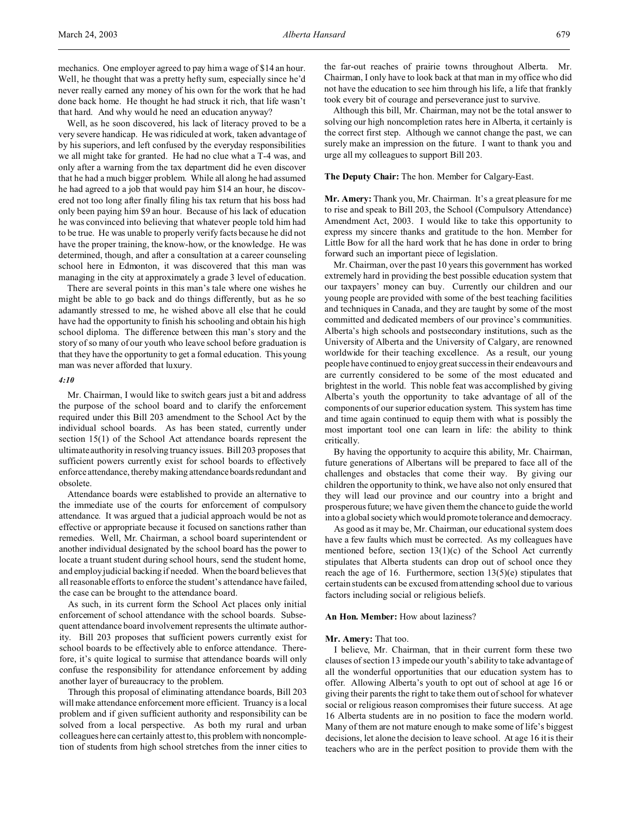Well, as he soon discovered, his lack of literacy proved to be a very severe handicap. He was ridiculed at work, taken advantage of by his superiors, and left confused by the everyday responsibilities we all might take for granted. He had no clue what a T-4 was, and only after a warning from the tax department did he even discover that he had a much bigger problem. While all along he had assumed he had agreed to a job that would pay him \$14 an hour, he discovered not too long after finally filing his tax return that his boss had only been paying him \$9 an hour. Because of his lack of education he was convinced into believing that whatever people told him had to be true. He was unable to properly verify facts because he did not have the proper training, the know-how, or the knowledge. He was determined, though, and after a consultation at a career counseling school here in Edmonton, it was discovered that this man was managing in the city at approximately a grade 3 level of education.

There are several points in this man's tale where one wishes he might be able to go back and do things differently, but as he so adamantly stressed to me, he wished above all else that he could have had the opportunity to finish his schooling and obtain his high school diploma. The difference between this man's story and the story of so many of our youth who leave school before graduation is that they have the opportunity to get a formal education. This young man was never afforded that luxury.

#### *4:10*

Mr. Chairman, I would like to switch gears just a bit and address the purpose of the school board and to clarify the enforcement required under this Bill 203 amendment to the School Act by the individual school boards. As has been stated, currently under section 15(1) of the School Act attendance boards represent the ultimate authority in resolving truancy issues. Bill 203 proposes that sufficient powers currently exist for school boards to effectively enforce attendance, thereby making attendance boards redundant and obsolete.

Attendance boards were established to provide an alternative to the immediate use of the courts for enforcement of compulsory attendance. It was argued that a judicial approach would be not as effective or appropriate because it focused on sanctions rather than remedies. Well, Mr. Chairman, a school board superintendent or another individual designated by the school board has the power to locate a truant student during school hours, send the student home, and employ judicial backing if needed. When the board believes that all reasonable efforts to enforce the student's attendance have failed, the case can be brought to the attendance board.

As such, in its current form the School Act places only initial enforcement of school attendance with the school boards. Subsequent attendance board involvement represents the ultimate authority. Bill 203 proposes that sufficient powers currently exist for school boards to be effectively able to enforce attendance. Therefore, it's quite logical to surmise that attendance boards will only confuse the responsibility for attendance enforcement by adding another layer of bureaucracy to the problem.

Through this proposal of eliminating attendance boards, Bill 203 will make attendance enforcement more efficient. Truancy is a local problem and if given sufficient authority and responsibility can be solved from a local perspective. As both my rural and urban colleagues here can certainly attest to, this problem with noncompletion of students from high school stretches from the inner cities to

the far-out reaches of prairie towns throughout Alberta. Mr. Chairman, I only have to look back at that man in my office who did not have the education to see him through his life, a life that frankly took every bit of courage and perseverance just to survive.

Although this bill, Mr. Chairman, may not be the total answer to solving our high noncompletion rates here in Alberta, it certainly is the correct first step. Although we cannot change the past, we can surely make an impression on the future. I want to thank you and urge all my colleagues to support Bill 203.

## **The Deputy Chair:** The hon. Member for Calgary-East.

**Mr. Amery:** Thank you, Mr. Chairman. It's a great pleasure for me to rise and speak to Bill 203, the School (Compulsory Attendance) Amendment Act, 2003. I would like to take this opportunity to express my sincere thanks and gratitude to the hon. Member for Little Bow for all the hard work that he has done in order to bring forward such an important piece of legislation.

Mr. Chairman, over the past 10 years this government has worked extremely hard in providing the best possible education system that our taxpayers' money can buy. Currently our children and our young people are provided with some of the best teaching facilities and techniques in Canada, and they are taught by some of the most committed and dedicated members of our province's communities. Alberta's high schools and postsecondary institutions, such as the University of Alberta and the University of Calgary, are renowned worldwide for their teaching excellence. As a result, our young people have continued to enjoy great success in their endeavours and are currently considered to be some of the most educated and brightest in the world. This noble feat was accomplished by giving Alberta's youth the opportunity to take advantage of all of the components of our superior education system. This system has time and time again continued to equip them with what is possibly the most important tool one can learn in life: the ability to think critically.

By having the opportunity to acquire this ability, Mr. Chairman, future generations of Albertans will be prepared to face all of the challenges and obstacles that come their way. By giving our children the opportunity to think, we have also not only ensured that they will lead our province and our country into a bright and prosperous future; we have given them the chance to guide the world into a global society which would promote tolerance and democracy.

As good as it may be, Mr. Chairman, our educational system does have a few faults which must be corrected. As my colleagues have mentioned before, section 13(1)(c) of the School Act currently stipulates that Alberta students can drop out of school once they reach the age of 16. Furthermore, section  $13(5)(e)$  stipulates that certain students can be excused from attending school due to various factors including social or religious beliefs.

#### **An Hon. Member:** How about laziness?

#### **Mr. Amery:** That too.

I believe, Mr. Chairman, that in their current form these two clauses of section 13 impede our youth's ability to take advantage of all the wonderful opportunities that our education system has to offer. Allowing Alberta's youth to opt out of school at age 16 or giving their parents the right to take them out of school for whatever social or religious reason compromises their future success. At age 16 Alberta students are in no position to face the modern world. Many of them are not mature enough to make some of life's biggest decisions, let alone the decision to leave school. At age 16 it is their teachers who are in the perfect position to provide them with the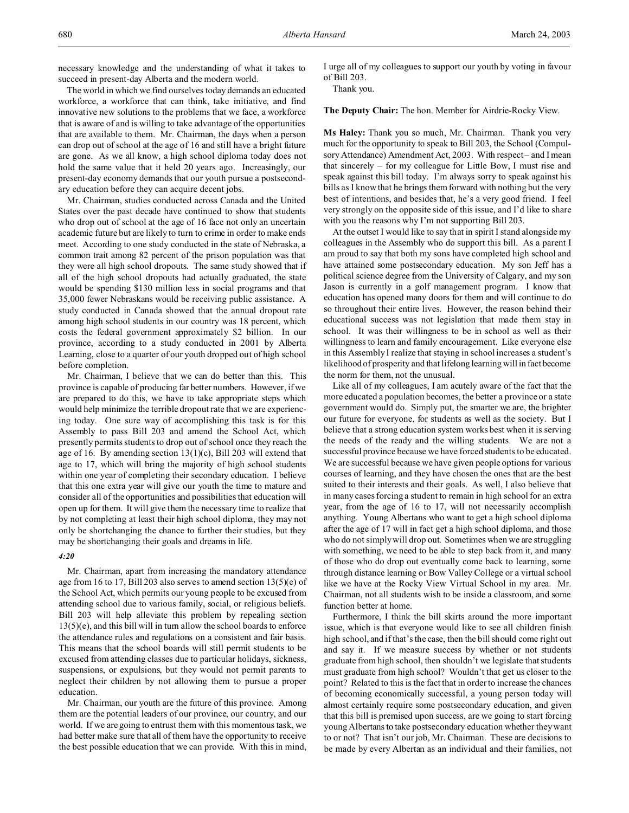necessary knowledge and the understanding of what it takes to succeed in present-day Alberta and the modern world.

The world in which we find ourselves today demands an educated workforce, a workforce that can think, take initiative, and find innovative new solutions to the problems that we face, a workforce that is aware of and is willing to take advantage of the opportunities that are available to them. Mr. Chairman, the days when a person can drop out of school at the age of 16 and still have a bright future are gone. As we all know, a high school diploma today does not hold the same value that it held 20 years ago. Increasingly, our present-day economy demands that our youth pursue a postsecondary education before they can acquire decent jobs.

Mr. Chairman, studies conducted across Canada and the United States over the past decade have continued to show that students who drop out of school at the age of 16 face not only an uncertain academic future but are likely to turn to crime in order to make ends meet. According to one study conducted in the state of Nebraska, a common trait among 82 percent of the prison population was that they were all high school dropouts. The same study showed that if all of the high school dropouts had actually graduated, the state would be spending \$130 million less in social programs and that 35,000 fewer Nebraskans would be receiving public assistance. A study conducted in Canada showed that the annual dropout rate among high school students in our country was 18 percent, which costs the federal government approximately \$2 billion. In our province, according to a study conducted in 2001 by Alberta Learning, close to a quarter of our youth dropped out of high school before completion.

Mr. Chairman, I believe that we can do better than this. This province is capable of producing far better numbers. However, if we are prepared to do this, we have to take appropriate steps which would help minimize the terrible dropout rate that we are experiencing today. One sure way of accomplishing this task is for this Assembly to pass Bill 203 and amend the School Act, which presently permits students to drop out of school once they reach the age of 16. By amending section  $13(1)(c)$ , Bill 203 will extend that age to 17, which will bring the majority of high school students within one year of completing their secondary education. I believe that this one extra year will give our youth the time to mature and consider all of the opportunities and possibilities that education will open up for them. It will give them the necessary time to realize that by not completing at least their high school diploma, they may not only be shortchanging the chance to further their studies, but they may be shortchanging their goals and dreams in life.

#### *4:20*

Mr. Chairman, apart from increasing the mandatory attendance age from 16 to 17, Bill 203 also serves to amend section 13(5)(e) of the School Act, which permits our young people to be excused from attending school due to various family, social, or religious beliefs. Bill 203 will help alleviate this problem by repealing section  $13(5)$ (e), and this bill will in turn allow the school boards to enforce the attendance rules and regulations on a consistent and fair basis. This means that the school boards will still permit students to be excused from attending classes due to particular holidays, sickness, suspensions, or expulsions, but they would not permit parents to neglect their children by not allowing them to pursue a proper education.

Mr. Chairman, our youth are the future of this province. Among them are the potential leaders of our province, our country, and our world. If we are going to entrust them with this momentous task, we had better make sure that all of them have the opportunity to receive the best possible education that we can provide. With this in mind,

I urge all of my colleagues to support our youth by voting in favour of Bill 203.

Thank you.

**The Deputy Chair:** The hon. Member for Airdrie-Rocky View.

**Ms Haley:** Thank you so much, Mr. Chairman. Thank you very much for the opportunity to speak to Bill 203, the School (Compulsory Attendance) Amendment Act, 2003. With respect – and I mean that sincerely – for my colleague for Little Bow, I must rise and speak against this bill today. I'm always sorry to speak against his bills as I know that he brings them forward with nothing but the very best of intentions, and besides that, he's a very good friend. I feel very strongly on the opposite side of this issue, and I'd like to share with you the reasons why I'm not supporting Bill 203.

At the outset I would like to say that in spirit I stand alongside my colleagues in the Assembly who do support this bill. As a parent I am proud to say that both my sons have completed high school and have attained some postsecondary education. My son Jeff has a political science degree from the University of Calgary, and my son Jason is currently in a golf management program. I know that education has opened many doors for them and will continue to do so throughout their entire lives. However, the reason behind their educational success was not legislation that made them stay in school. It was their willingness to be in school as well as their willingness to learn and family encouragement. Like everyone else in this Assembly I realize that staying in school increases a student's likelihood of prosperity and that lifelong learning will in fact become the norm for them, not the unusual.

Like all of my colleagues, I am acutely aware of the fact that the more educated a population becomes, the better a province or a state government would do. Simply put, the smarter we are, the brighter our future for everyone, for students as well as the society. But I believe that a strong education system works best when it is serving the needs of the ready and the willing students. We are not a successful province because we have forced students to be educated. We are successful because we have given people options for various courses of learning, and they have chosen the ones that are the best suited to their interests and their goals. As well, I also believe that in many cases forcing a student to remain in high school for an extra year, from the age of 16 to 17, will not necessarily accomplish anything. Young Albertans who want to get a high school diploma after the age of 17 will in fact get a high school diploma, and those who do not simply will drop out. Sometimes when we are struggling with something, we need to be able to step back from it, and many of those who do drop out eventually come back to learning, some through distance learning or Bow Valley College or a virtual school like we have at the Rocky View Virtual School in my area. Mr. Chairman, not all students wish to be inside a classroom, and some function better at home.

Furthermore, I think the bill skirts around the more important issue, which is that everyone would like to see all children finish high school, and if that's the case, then the bill should come right out and say it. If we measure success by whether or not students graduate from high school, then shouldn't we legislate that students must graduate from high school? Wouldn't that get us closer to the point? Related to this is the fact that in order to increase the chances of becoming economically successful, a young person today will almost certainly require some postsecondary education, and given that this bill is premised upon success, are we going to start forcing young Albertans to take postsecondary education whether they want to or not? That isn't our job, Mr. Chairman. These are decisions to be made by every Albertan as an individual and their families, not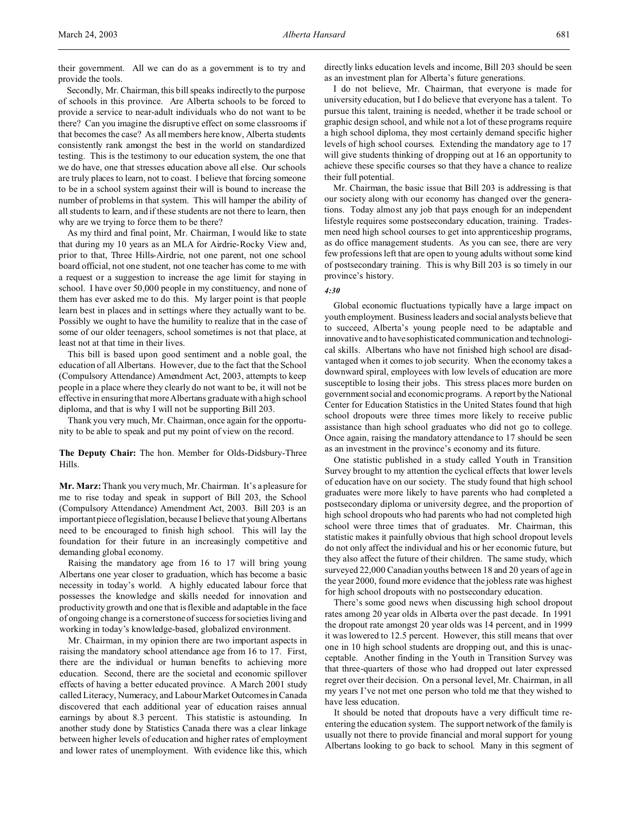their government. All we can do as a government is to try and provide the tools.

Secondly, Mr. Chairman, this bill speaks indirectly to the purpose of schools in this province. Are Alberta schools to be forced to provide a service to near-adult individuals who do not want to be there? Can you imagine the disruptive effect on some classrooms if that becomes the case? As all members here know, Alberta students consistently rank amongst the best in the world on standardized testing. This is the testimony to our education system, the one that we do have, one that stresses education above all else. Our schools are truly places to learn, not to coast. I believe that forcing someone to be in a school system against their will is bound to increase the number of problems in that system. This will hamper the ability of all students to learn, and if these students are not there to learn, then why are we trying to force them to be there?

As my third and final point, Mr. Chairman, I would like to state that during my 10 years as an MLA for Airdrie-Rocky View and, prior to that, Three Hills-Airdrie, not one parent, not one school board official, not one student, not one teacher has come to me with a request or a suggestion to increase the age limit for staying in school. I have over 50,000 people in my constituency, and none of them has ever asked me to do this. My larger point is that people learn best in places and in settings where they actually want to be. Possibly we ought to have the humility to realize that in the case of some of our older teenagers, school sometimes is not that place, at least not at that time in their lives.

This bill is based upon good sentiment and a noble goal, the education of all Albertans. However, due to the fact that the School (Compulsory Attendance) Amendment Act, 2003, attempts to keep people in a place where they clearly do not want to be, it will not be effective in ensuring that more Albertans graduate with a high school diploma, and that is why I will not be supporting Bill 203.

Thank you very much, Mr. Chairman, once again for the opportunity to be able to speak and put my point of view on the record.

**The Deputy Chair:** The hon. Member for Olds-Didsbury-Three Hills.

**Mr. Marz:** Thank you very much, Mr. Chairman. It's a pleasure for me to rise today and speak in support of Bill 203, the School (Compulsory Attendance) Amendment Act, 2003. Bill 203 is an important piece of legislation, because I believe that young Albertans need to be encouraged to finish high school. This will lay the foundation for their future in an increasingly competitive and demanding global economy.

Raising the mandatory age from 16 to 17 will bring young Albertans one year closer to graduation, which has become a basic necessity in today's world. A highly educated labour force that possesses the knowledge and skills needed for innovation and productivity growth and one that is flexible and adaptable in the face of ongoing change is a cornerstone of success for societies living and working in today's knowledge-based, globalized environment.

Mr. Chairman, in my opinion there are two important aspects in raising the mandatory school attendance age from 16 to 17. First, there are the individual or human benefits to achieving more education. Second, there are the societal and economic spillover effects of having a better educated province. A March 2001 study called Literacy, Numeracy, and Labour Market Outcomes in Canada discovered that each additional year of education raises annual earnings by about 8.3 percent. This statistic is astounding. In another study done by Statistics Canada there was a clear linkage between higher levels of education and higher rates of employment and lower rates of unemployment. With evidence like this, which

directly links education levels and income, Bill 203 should be seen as an investment plan for Alberta's future generations.

I do not believe, Mr. Chairman, that everyone is made for university education, but I do believe that everyone has a talent. To pursue this talent, training is needed, whether it be trade school or graphic design school, and while not a lot of these programs require a high school diploma, they most certainly demand specific higher levels of high school courses. Extending the mandatory age to 17 will give students thinking of dropping out at 16 an opportunity to achieve these specific courses so that they have a chance to realize their full potential.

Mr. Chairman, the basic issue that Bill 203 is addressing is that our society along with our economy has changed over the generations. Today almost any job that pays enough for an independent lifestyle requires some postsecondary education, training. Tradesmen need high school courses to get into apprenticeship programs, as do office management students. As you can see, there are very few professions left that are open to young adults without some kind of postsecondary training. This is why Bill 203 is so timely in our province's history.

#### *4:30*

Global economic fluctuations typically have a large impact on youth employment. Business leaders and social analysts believe that to succeed, Alberta's young people need to be adaptable and innovative and to have sophisticated communication and technological skills. Albertans who have not finished high school are disadvantaged when it comes to job security. When the economy takes a downward spiral, employees with low levels of education are more susceptible to losing their jobs. This stress places more burden on government social and economic programs. A report by the National Center for Education Statistics in the United States found that high school dropouts were three times more likely to receive public assistance than high school graduates who did not go to college. Once again, raising the mandatory attendance to 17 should be seen as an investment in the province's economy and its future.

One statistic published in a study called Youth in Transition Survey brought to my attention the cyclical effects that lower levels of education have on our society. The study found that high school graduates were more likely to have parents who had completed a postsecondary diploma or university degree, and the proportion of high school dropouts who had parents who had not completed high school were three times that of graduates. Mr. Chairman, this statistic makes it painfully obvious that high school dropout levels do not only affect the individual and his or her economic future, but they also affect the future of their children. The same study, which surveyed 22,000 Canadian youths between 18 and 20 years of age in the year 2000, found more evidence that the jobless rate was highest for high school dropouts with no postsecondary education.

There's some good news when discussing high school dropout rates among 20 year olds in Alberta over the past decade. In 1991 the dropout rate amongst 20 year olds was 14 percent, and in 1999 it was lowered to 12.5 percent. However, this still means that over one in 10 high school students are dropping out, and this is unacceptable. Another finding in the Youth in Transition Survey was that three-quarters of those who had dropped out later expressed regret over their decision. On a personal level, Mr. Chairman, in all my years I've not met one person who told me that they wished to have less education.

It should be noted that dropouts have a very difficult time reentering the education system. The support network of the family is usually not there to provide financial and moral support for young Albertans looking to go back to school. Many in this segment of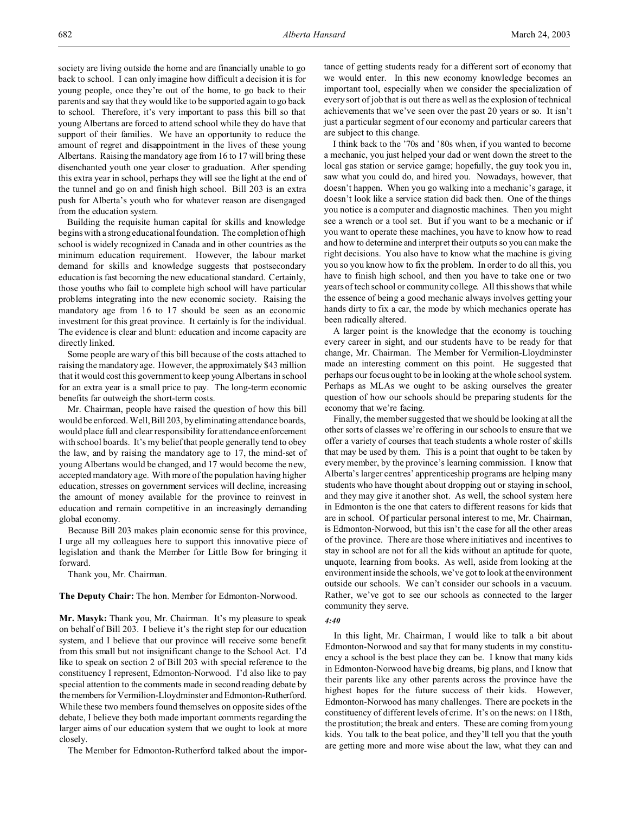society are living outside the home and are financially unable to go back to school. I can only imagine how difficult a decision it is for young people, once they're out of the home, to go back to their parents and say that they would like to be supported again to go back to school. Therefore, it's very important to pass this bill so that young Albertans are forced to attend school while they do have that support of their families. We have an opportunity to reduce the amount of regret and disappointment in the lives of these young Albertans. Raising the mandatory age from 16 to 17 will bring these disenchanted youth one year closer to graduation. After spending this extra year in school, perhaps they will see the light at the end of the tunnel and go on and finish high school. Bill 203 is an extra push for Alberta's youth who for whatever reason are disengaged from the education system.

Building the requisite human capital for skills and knowledge begins with a strong educational foundation. The completion of high school is widely recognized in Canada and in other countries as the minimum education requirement. However, the labour market demand for skills and knowledge suggests that postsecondary education is fast becoming the new educational standard. Certainly, those youths who fail to complete high school will have particular problems integrating into the new economic society. Raising the mandatory age from 16 to 17 should be seen as an economic investment for this great province. It certainly is for the individual. The evidence is clear and blunt: education and income capacity are directly linked.

Some people are wary of this bill because of the costs attached to raising the mandatory age. However, the approximately \$43 million that it would cost this government to keep young Albertans in school for an extra year is a small price to pay. The long-term economic benefits far outweigh the short-term costs.

Mr. Chairman, people have raised the question of how this bill would be enforced. Well, Bill 203, by eliminating attendance boards, would place full and clear responsibility for attendance enforcement with school boards. It's my belief that people generally tend to obey the law, and by raising the mandatory age to 17, the mind-set of young Albertans would be changed, and 17 would become the new, accepted mandatory age. With more of the population having higher education, stresses on government services will decline, increasing the amount of money available for the province to reinvest in education and remain competitive in an increasingly demanding global economy.

Because Bill 203 makes plain economic sense for this province, I urge all my colleagues here to support this innovative piece of legislation and thank the Member for Little Bow for bringing it forward.

Thank you, Mr. Chairman.

**The Deputy Chair:** The hon. Member for Edmonton-Norwood.

**Mr. Masyk:** Thank you, Mr. Chairman. It's my pleasure to speak on behalf of Bill 203. I believe it's the right step for our education system, and I believe that our province will receive some benefit from this small but not insignificant change to the School Act. I'd like to speak on section 2 of Bill 203 with special reference to the constituency I represent, Edmonton-Norwood. I'd also like to pay special attention to the comments made in second reading debate by the members for Vermilion-Lloydminster and Edmonton-Rutherford. While these two members found themselves on opposite sides of the debate, I believe they both made important comments regarding the larger aims of our education system that we ought to look at more closely.

The Member for Edmonton-Rutherford talked about the impor-

tance of getting students ready for a different sort of economy that we would enter. In this new economy knowledge becomes an important tool, especially when we consider the specialization of every sort of job that is out there as well as the explosion of technical achievements that we've seen over the past 20 years or so. It isn't just a particular segment of our economy and particular careers that are subject to this change.

I think back to the '70s and '80s when, if you wanted to become a mechanic, you just helped your dad or went down the street to the local gas station or service garage; hopefully, the guy took you in, saw what you could do, and hired you. Nowadays, however, that doesn't happen. When you go walking into a mechanic's garage, it doesn't look like a service station did back then. One of the things you notice is a computer and diagnostic machines. Then you might see a wrench or a tool set. But if you want to be a mechanic or if you want to operate these machines, you have to know how to read and how to determine and interpret their outputs so you can make the right decisions. You also have to know what the machine is giving you so you know how to fix the problem. In order to do all this, you have to finish high school, and then you have to take one or two years of tech school or community college. All this shows that while the essence of being a good mechanic always involves getting your hands dirty to fix a car, the mode by which mechanics operate has been radically altered.

A larger point is the knowledge that the economy is touching every career in sight, and our students have to be ready for that change, Mr. Chairman. The Member for Vermilion-Lloydminster made an interesting comment on this point. He suggested that perhaps our focus ought to be in looking at the whole school system. Perhaps as MLAs we ought to be asking ourselves the greater question of how our schools should be preparing students for the economy that we're facing.

Finally, the member suggested that we should be looking at all the other sorts of classes we're offering in our schools to ensure that we offer a variety of courses that teach students a whole roster of skills that may be used by them. This is a point that ought to be taken by every member, by the province's learning commission. I know that Alberta's larger centres' apprenticeship programs are helping many students who have thought about dropping out or staying in school, and they may give it another shot. As well, the school system here in Edmonton is the one that caters to different reasons for kids that are in school. Of particular personal interest to me, Mr. Chairman, is Edmonton-Norwood, but this isn't the case for all the other areas of the province. There are those where initiatives and incentives to stay in school are not for all the kids without an aptitude for quote, unquote, learning from books. As well, aside from looking at the environment inside the schools, we've got to look at the environment outside our schools. We can't consider our schools in a vacuum. Rather, we've got to see our schools as connected to the larger community they serve.

#### *4:40*

In this light, Mr. Chairman, I would like to talk a bit about Edmonton-Norwood and say that for many students in my constituency a school is the best place they can be. I know that many kids in Edmonton-Norwood have big dreams, big plans, and I know that their parents like any other parents across the province have the highest hopes for the future success of their kids. However, Edmonton-Norwood has many challenges. There are pockets in the constituency of different levels of crime. It's on the news: on 118th, the prostitution; the break and enters. These are coming from young kids. You talk to the beat police, and they'll tell you that the youth are getting more and more wise about the law, what they can and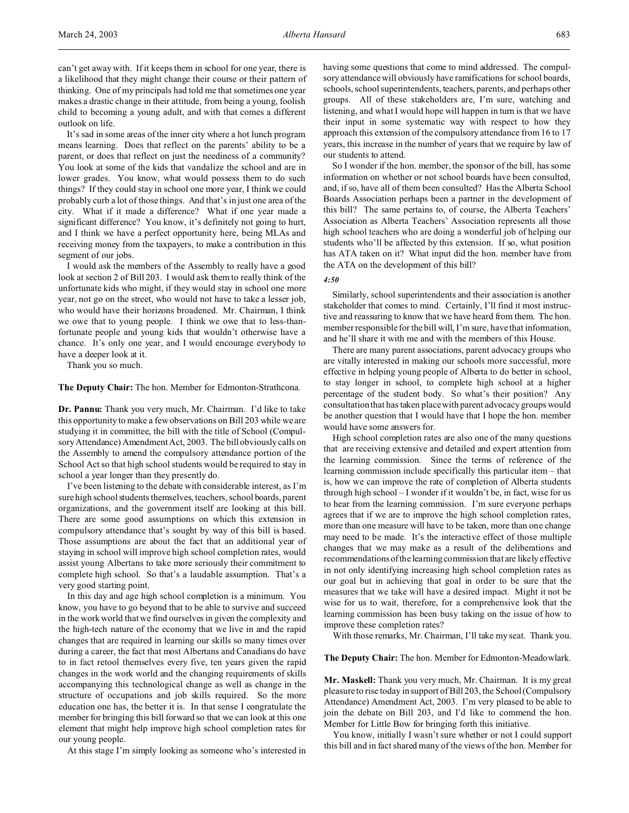can't get away with. If it keeps them in school for one year, there is a likelihood that they might change their course or their pattern of thinking. One of my principals had told me that sometimes one year makes a drastic change in their attitude, from being a young, foolish child to becoming a young adult, and with that comes a different outlook on life.

It's sad in some areas of the inner city where a hot lunch program means learning. Does that reflect on the parents' ability to be a parent, or does that reflect on just the neediness of a community? You look at some of the kids that vandalize the school and are in lower grades. You know, what would possess them to do such things? If they could stay in school one more year, I think we could probably curb a lot of those things. And that's in just one area of the city. What if it made a difference? What if one year made a significant difference? You know, it's definitely not going to hurt, and I think we have a perfect opportunity here, being MLAs and receiving money from the taxpayers, to make a contribution in this segment of our jobs.

I would ask the members of the Assembly to really have a good look at section 2 of Bill 203. I would ask them to really think of the unfortunate kids who might, if they would stay in school one more year, not go on the street, who would not have to take a lesser job, who would have their horizons broadened. Mr. Chairman, I think we owe that to young people. I think we owe that to less-thanfortunate people and young kids that wouldn't otherwise have a chance. It's only one year, and I would encourage everybody to have a deeper look at it.

Thank you so much.

**The Deputy Chair:** The hon. Member for Edmonton-Strathcona.

**Dr. Pannu:** Thank you very much, Mr. Chairman. I'd like to take this opportunity to make a few observations on Bill 203 while we are studying it in committee, the bill with the title of School (Compulsory Attendance) Amendment Act, 2003. The bill obviously calls on the Assembly to amend the compulsory attendance portion of the School Act so that high school students would be required to stay in school a year longer than they presently do.

I've been listening to the debate with considerable interest, as I'm sure high school students themselves, teachers, school boards, parent organizations, and the government itself are looking at this bill. There are some good assumptions on which this extension in compulsory attendance that's sought by way of this bill is based. Those assumptions are about the fact that an additional year of staying in school will improve high school completion rates, would assist young Albertans to take more seriously their commitment to complete high school. So that's a laudable assumption. That's a very good starting point.

In this day and age high school completion is a minimum. You know, you have to go beyond that to be able to survive and succeed in the work world that we find ourselves in given the complexity and the high-tech nature of the economy that we live in and the rapid changes that are required in learning our skills so many times over during a career, the fact that most Albertans and Canadians do have to in fact retool themselves every five, ten years given the rapid changes in the work world and the changing requirements of skills accompanying this technological change as well as change in the structure of occupations and job skills required. So the more education one has, the better it is. In that sense I congratulate the member for bringing this bill forward so that we can look at this one element that might help improve high school completion rates for our young people.

At this stage I'm simply looking as someone who's interested in

having some questions that come to mind addressed. The compulsory attendance will obviously have ramifications for school boards, schools, school superintendents, teachers, parents, and perhaps other groups. All of these stakeholders are, I'm sure, watching and listening, and what I would hope will happen in turn is that we have their input in some systematic way with respect to how they approach this extension of the compulsory attendance from 16 to 17 years, this increase in the number of years that we require by law of our students to attend.

So I wonder if the hon. member, the sponsor of the bill, has some information on whether or not school boards have been consulted, and, if so, have all of them been consulted? Has the Alberta School Boards Association perhaps been a partner in the development of this bill? The same pertains to, of course, the Alberta Teachers' Association as Alberta Teachers' Association represents all those high school teachers who are doing a wonderful job of helping our students who'll be affected by this extension. If so, what position has ATA taken on it? What input did the hon. member have from the ATA on the development of this bill?

#### *4:50*

Similarly, school superintendents and their association is another stakeholder that comes to mind. Certainly, I'll find it most instructive and reassuring to know that we have heard from them. The hon. member responsible for the bill will, I'm sure, have that information, and he'll share it with me and with the members of this House.

There are many parent associations, parent advocacy groups who are vitally interested in making our schools more successful, more effective in helping young people of Alberta to do better in school, to stay longer in school, to complete high school at a higher percentage of the student body. So what's their position? Any consultation that has taken place with parent advocacy groups would be another question that I would have that I hope the hon. member would have some answers for.

High school completion rates are also one of the many questions that are receiving extensive and detailed and expert attention from the learning commission. Since the terms of reference of the learning commission include specifically this particular item – that is, how we can improve the rate of completion of Alberta students through high school – I wonder if it wouldn't be, in fact, wise for us to hear from the learning commission. I'm sure everyone perhaps agrees that if we are to improve the high school completion rates, more than one measure will have to be taken, more than one change may need to be made. It's the interactive effect of those multiple changes that we may make as a result of the deliberations and recommendations of the learning commission that are likely effective in not only identifying increasing high school completion rates as our goal but in achieving that goal in order to be sure that the measures that we take will have a desired impact. Might it not be wise for us to wait, therefore, for a comprehensive look that the learning commission has been busy taking on the issue of how to improve these completion rates?

With those remarks, Mr. Chairman, I'll take my seat. Thank you.

#### **The Deputy Chair:** The hon. Member for Edmonton-Meadowlark.

**Mr. Maskell:** Thank you very much, Mr. Chairman. It is my great pleasure to rise today in support of Bill 203, the School (Compulsory Attendance) Amendment Act, 2003. I'm very pleased to be able to join the debate on Bill 203, and I'd like to commend the hon. Member for Little Bow for bringing forth this initiative.

You know, initially I wasn't sure whether or not I could support this bill and in fact shared many of the views of the hon. Member for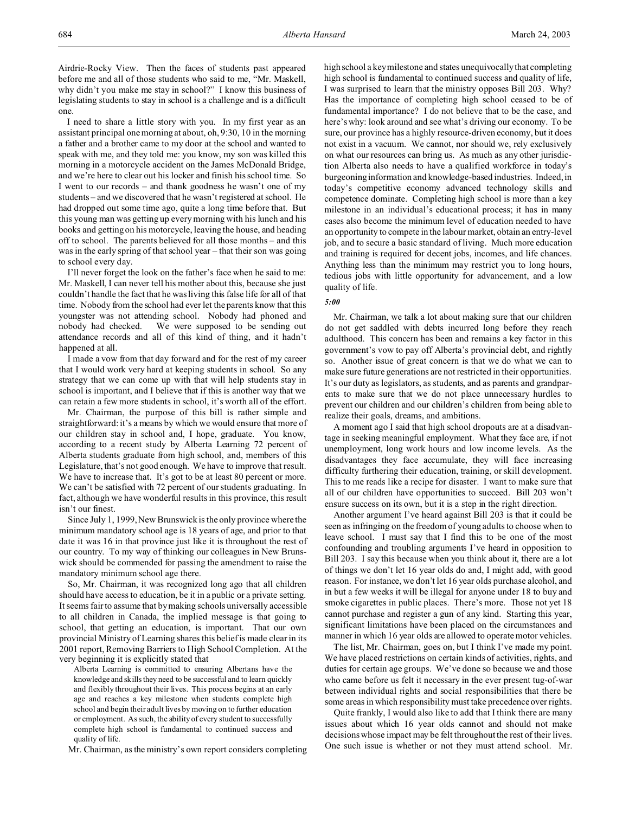Airdrie-Rocky View. Then the faces of students past appeared before me and all of those students who said to me, "Mr. Maskell, why didn't you make me stay in school?" I know this business of legislating students to stay in school is a challenge and is a difficult one.

I need to share a little story with you. In my first year as an assistant principal one morning at about, oh, 9:30, 10 in the morning a father and a brother came to my door at the school and wanted to speak with me, and they told me: you know, my son was killed this morning in a motorcycle accident on the James McDonald Bridge, and we're here to clear out his locker and finish his school time. So I went to our records – and thank goodness he wasn't one of my students – and we discovered that he wasn't registered at school. He had dropped out some time ago, quite a long time before that. But this young man was getting up every morning with his lunch and his books and getting on his motorcycle, leaving the house, and heading off to school. The parents believed for all those months – and this was in the early spring of that school year – that their son was going to school every day.

I'll never forget the look on the father's face when he said to me: Mr. Maskell, I can never tell his mother about this, because she just couldn't handle the fact that he was living this false life for all of that time. Nobody from the school had ever let the parents know that this youngster was not attending school. Nobody had phoned and nobody had checked. We were supposed to be sending out attendance records and all of this kind of thing, and it hadn't happened at all.

I made a vow from that day forward and for the rest of my career that I would work very hard at keeping students in school. So any strategy that we can come up with that will help students stay in school is important, and I believe that if this is another way that we can retain a few more students in school, it's worth all of the effort.

Mr. Chairman, the purpose of this bill is rather simple and straightforward: it's a means by which we would ensure that more of our children stay in school and, I hope, graduate. You know, according to a recent study by Alberta Learning 72 percent of Alberta students graduate from high school, and, members of this Legislature, that's not good enough. We have to improve that result. We have to increase that. It's got to be at least 80 percent or more. We can't be satisfied with 72 percent of our students graduating. In fact, although we have wonderful results in this province, this result isn't our finest.

Since July 1, 1999, New Brunswick is the only province where the minimum mandatory school age is 18 years of age, and prior to that date it was 16 in that province just like it is throughout the rest of our country. To my way of thinking our colleagues in New Brunswick should be commended for passing the amendment to raise the mandatory minimum school age there.

So, Mr. Chairman, it was recognized long ago that all children should have access to education, be it in a public or a private setting. It seems fair to assume that by making schools universally accessible to all children in Canada, the implied message is that going to school, that getting an education, is important. That our own provincial Ministry of Learning shares this belief is made clear in its 2001 report, Removing Barriers to High School Completion. At the very beginning it is explicitly stated that

Alberta Learning is committed to ensuring Albertans have the knowledge and skills they need to be successful and to learn quickly and flexibly throughout their lives. This process begins at an early age and reaches a key milestone when students complete high school and begin their adult lives by moving on to further education or employment. As such, the ability of every student to successfully complete high school is fundamental to continued success and quality of life.

Mr. Chairman, as the ministry's own report considers completing

high school a key milestone and states unequivocally that completing high school is fundamental to continued success and quality of life, I was surprised to learn that the ministry opposes Bill 203. Why? Has the importance of completing high school ceased to be of fundamental importance? I do not believe that to be the case, and here's why: look around and see what's driving our economy. To be sure, our province has a highly resource-driven economy, but it does not exist in a vacuum. We cannot, nor should we, rely exclusively on what our resources can bring us. As much as any other jurisdiction Alberta also needs to have a qualified workforce in today's burgeoning information and knowledge-based industries. Indeed, in today's competitive economy advanced technology skills and competence dominate. Completing high school is more than a key milestone in an individual's educational process; it has in many cases also become the minimum level of education needed to have an opportunity to compete in the labour market, obtain an entry-level job, and to secure a basic standard of living. Much more education and training is required for decent jobs, incomes, and life chances. Anything less than the minimum may restrict you to long hours, tedious jobs with little opportunity for advancement, and a low quality of life.

#### *5:00*

Mr. Chairman, we talk a lot about making sure that our children do not get saddled with debts incurred long before they reach adulthood. This concern has been and remains a key factor in this government's vow to pay off Alberta's provincial debt, and rightly so. Another issue of great concern is that we do what we can to make sure future generations are not restricted in their opportunities. It's our duty as legislators, as students, and as parents and grandparents to make sure that we do not place unnecessary hurdles to prevent our children and our children's children from being able to realize their goals, dreams, and ambitions.

A moment ago I said that high school dropouts are at a disadvantage in seeking meaningful employment. What they face are, if not unemployment, long work hours and low income levels. As the disadvantages they face accumulate, they will face increasing difficulty furthering their education, training, or skill development. This to me reads like a recipe for disaster. I want to make sure that all of our children have opportunities to succeed. Bill 203 won't ensure success on its own, but it is a step in the right direction.

Another argument I've heard against Bill 203 is that it could be seen as infringing on the freedom of young adults to choose when to leave school. I must say that I find this to be one of the most confounding and troubling arguments I've heard in opposition to Bill 203. I say this because when you think about it, there are a lot of things we don't let 16 year olds do and, I might add, with good reason. For instance, we don't let 16 year olds purchase alcohol, and in but a few weeks it will be illegal for anyone under 18 to buy and smoke cigarettes in public places. There's more. Those not yet 18 cannot purchase and register a gun of any kind. Starting this year, significant limitations have been placed on the circumstances and manner in which 16 year olds are allowed to operate motor vehicles.

The list, Mr. Chairman, goes on, but I think I've made my point. We have placed restrictions on certain kinds of activities, rights, and duties for certain age groups. We've done so because we and those who came before us felt it necessary in the ever present tug-of-war between individual rights and social responsibilities that there be some areas in which responsibility must take precedence over rights.

Quite frankly, I would also like to add that I think there are many issues about which 16 year olds cannot and should not make decisions whose impact may be felt throughout the rest of their lives. One such issue is whether or not they must attend school. Mr.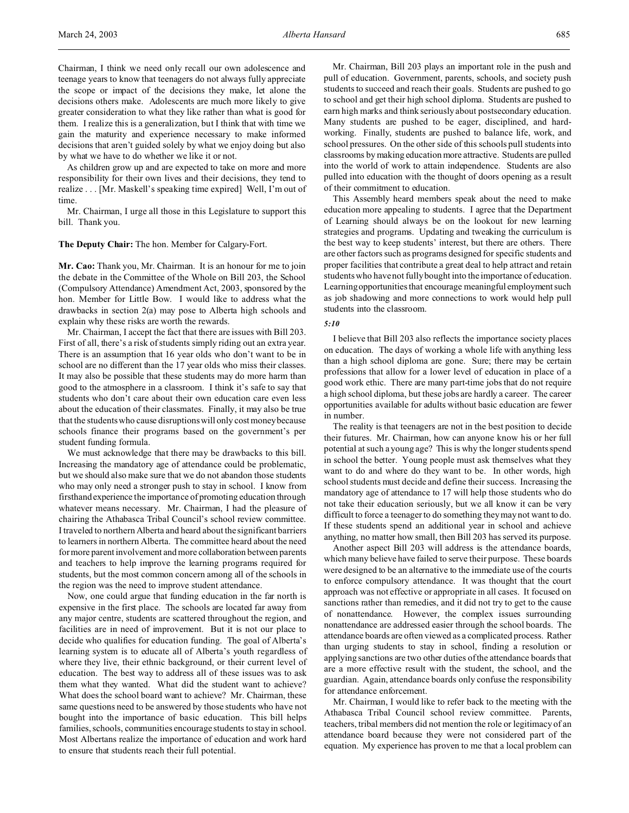Chairman, I think we need only recall our own adolescence and teenage years to know that teenagers do not always fully appreciate the scope or impact of the decisions they make, let alone the decisions others make. Adolescents are much more likely to give greater consideration to what they like rather than what is good for them. I realize this is a generalization, but I think that with time we gain the maturity and experience necessary to make informed decisions that aren't guided solely by what we enjoy doing but also by what we have to do whether we like it or not.

As children grow up and are expected to take on more and more responsibility for their own lives and their decisions, they tend to realize . . . [Mr. Maskell's speaking time expired] Well, I'm out of time.

Mr. Chairman, I urge all those in this Legislature to support this bill. Thank you.

**The Deputy Chair:** The hon. Member for Calgary-Fort.

**Mr. Cao:** Thank you, Mr. Chairman. It is an honour for me to join the debate in the Committee of the Whole on Bill 203, the School (Compulsory Attendance) Amendment Act, 2003, sponsored by the hon. Member for Little Bow. I would like to address what the drawbacks in section 2(a) may pose to Alberta high schools and explain why these risks are worth the rewards.

Mr. Chairman, I accept the fact that there are issues with Bill 203. First of all, there's a risk of students simply riding out an extra year. There is an assumption that 16 year olds who don't want to be in school are no different than the 17 year olds who miss their classes. It may also be possible that these students may do more harm than good to the atmosphere in a classroom. I think it's safe to say that students who don't care about their own education care even less about the education of their classmates. Finally, it may also be true that the students who cause disruptions will only cost money because schools finance their programs based on the government's per student funding formula.

We must acknowledge that there may be drawbacks to this bill. Increasing the mandatory age of attendance could be problematic, but we should also make sure that we do not abandon those students who may only need a stronger push to stay in school. I know from firsthand experience the importance of promoting education through whatever means necessary. Mr. Chairman, I had the pleasure of chairing the Athabasca Tribal Council's school review committee. I traveled to northern Alberta and heard about the significant barriers to learners in northern Alberta. The committee heard about the need for more parent involvement and more collaboration between parents and teachers to help improve the learning programs required for students, but the most common concern among all of the schools in the region was the need to improve student attendance.

Now, one could argue that funding education in the far north is expensive in the first place. The schools are located far away from any major centre, students are scattered throughout the region, and facilities are in need of improvement. But it is not our place to decide who qualifies for education funding. The goal of Alberta's learning system is to educate all of Alberta's youth regardless of where they live, their ethnic background, or their current level of education. The best way to address all of these issues was to ask them what they wanted. What did the student want to achieve? What does the school board want to achieve? Mr. Chairman, these same questions need to be answered by those students who have not bought into the importance of basic education. This bill helps families, schools, communities encourage students to stay in school. Most Albertans realize the importance of education and work hard to ensure that students reach their full potential.

Mr. Chairman, Bill 203 plays an important role in the push and pull of education. Government, parents, schools, and society push students to succeed and reach their goals. Students are pushed to go to school and get their high school diploma. Students are pushed to earn high marks and think seriously about postsecondary education. Many students are pushed to be eager, disciplined, and hardworking. Finally, students are pushed to balance life, work, and school pressures. On the other side of this schools pull students into classrooms by making education more attractive. Students are pulled into the world of work to attain independence. Students are also pulled into education with the thought of doors opening as a result of their commitment to education.

This Assembly heard members speak about the need to make education more appealing to students. I agree that the Department of Learning should always be on the lookout for new learning strategies and programs. Updating and tweaking the curriculum is the best way to keep students' interest, but there are others. There are other factors such as programs designed for specific students and proper facilities that contribute a great deal to help attract and retain students who have not fully bought into the importance of education. Learning opportunities that encourage meaningful employment such as job shadowing and more connections to work would help pull students into the classroom.

### *5:10*

I believe that Bill 203 also reflects the importance society places on education. The days of working a whole life with anything less than a high school diploma are gone. Sure; there may be certain professions that allow for a lower level of education in place of a good work ethic. There are many part-time jobs that do not require a high school diploma, but these jobs are hardly a career. The career opportunities available for adults without basic education are fewer in number.

The reality is that teenagers are not in the best position to decide their futures. Mr. Chairman, how can anyone know his or her full potential at such a young age? This is why the longer students spend in school the better. Young people must ask themselves what they want to do and where do they want to be. In other words, high school students must decide and define their success. Increasing the mandatory age of attendance to 17 will help those students who do not take their education seriously, but we all know it can be very difficult to force a teenager to do something they may not want to do. If these students spend an additional year in school and achieve anything, no matter how small, then Bill 203 has served its purpose.

Another aspect Bill 203 will address is the attendance boards, which many believe have failed to serve their purpose. These boards were designed to be an alternative to the immediate use of the courts to enforce compulsory attendance. It was thought that the court approach was not effective or appropriate in all cases. It focused on sanctions rather than remedies, and it did not try to get to the cause of nonattendance. However, the complex issues surrounding nonattendance are addressed easier through the school boards. The attendance boards are often viewed as a complicated process. Rather than urging students to stay in school, finding a resolution or applying sanctions are two other duties of the attendance boards that are a more effective result with the student, the school, and the guardian. Again, attendance boards only confuse the responsibility for attendance enforcement.

Mr. Chairman, I would like to refer back to the meeting with the Athabasca Tribal Council school review committee. Parents, teachers, tribal members did not mention the role or legitimacy of an attendance board because they were not considered part of the equation. My experience has proven to me that a local problem can